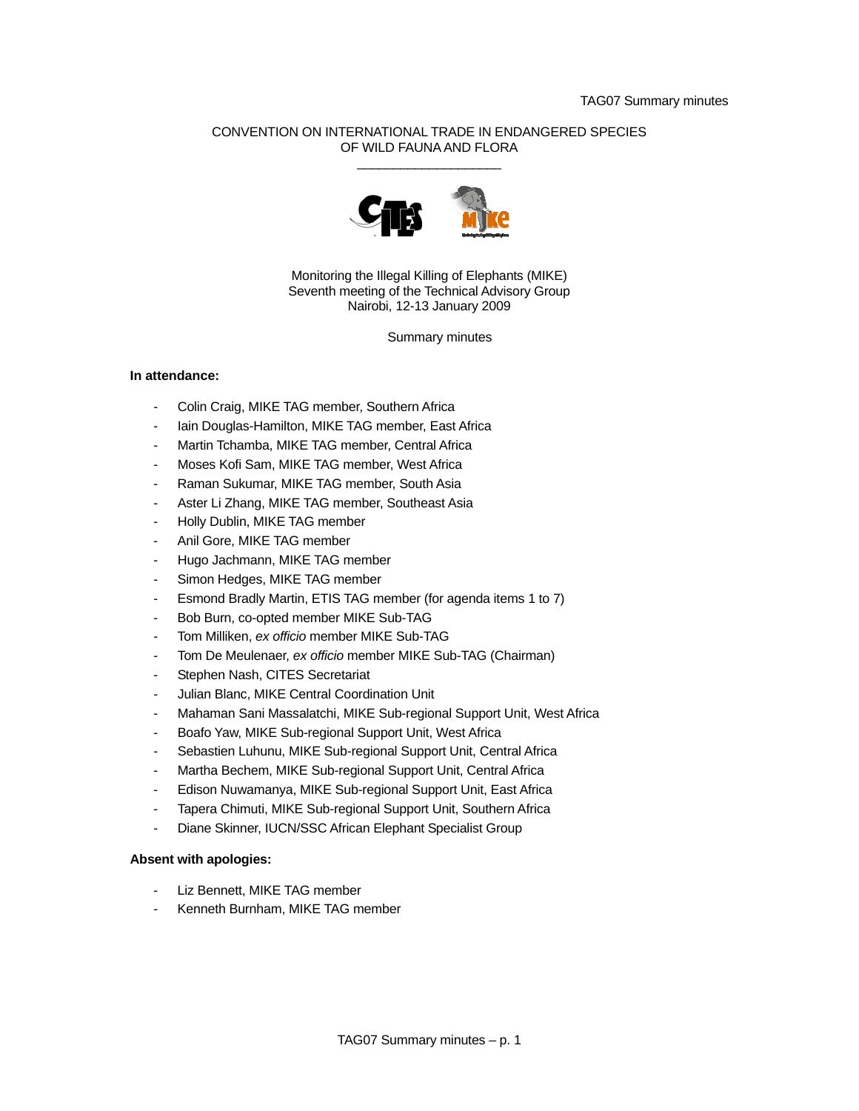# CONVENTION ON INTERNATIONAL TRADE IN ENDANGERED SPECIES OF WILD FAUNA AND FLORA  $\frac{1}{2}$  ,  $\frac{1}{2}$  ,  $\frac{1}{2}$  ,  $\frac{1}{2}$  ,  $\frac{1}{2}$  ,  $\frac{1}{2}$  ,  $\frac{1}{2}$  ,  $\frac{1}{2}$  ,  $\frac{1}{2}$  ,  $\frac{1}{2}$  ,  $\frac{1}{2}$  ,  $\frac{1}{2}$  ,  $\frac{1}{2}$  ,  $\frac{1}{2}$  ,  $\frac{1}{2}$  ,  $\frac{1}{2}$  ,  $\frac{1}{2}$  ,  $\frac{1}{2}$  ,  $\frac{1$



Monitoring the Illegal Killing of Elephants (MIKE) Seventh meeting of the Technical Advisory Group Nairobi, 12-13 January 2009

Summary minutes

# **In attendance:**

- Colin Craig, MIKE TAG member, Southern Africa
- Iain Douglas-Hamilton, MIKE TAG member, East Africa
- Martin Tchamba, MIKE TAG member, Central Africa
- Moses Kofi Sam, MIKE TAG member, West Africa
- Raman Sukumar, MIKE TAG member, South Asia
- Aster Li Zhang, MIKE TAG member, Southeast Asia
- Holly Dublin, MIKE TAG member
- Anil Gore, MIKE TAG member
- Hugo Jachmann, MIKE TAG member
- Simon Hedges, MIKE TAG member
- Esmond Bradly Martin, ETIS TAG member (for agenda items 1 to 7)
- Bob Burn, co-opted member MIKE Sub-TAG
- Tom Milliken, *ex officio* member MIKE Sub-TAG
- Tom De Meulenaer, *ex officio* member MIKE Sub-TAG (Chairman)
- Stephen Nash, CITES Secretariat
- Julian Blanc, MIKE Central Coordination Unit
- Mahaman Sani Massalatchi, MIKE Sub-regional Support Unit, West Africa
- Boafo Yaw, MIKE Sub-regional Support Unit, West Africa
- Sebastien Luhunu, MIKE Sub-regional Support Unit, Central Africa
- Martha Bechem, MIKE Sub-regional Support Unit, Central Africa
- Edison Nuwamanya, MIKE Sub-regional Support Unit, East Africa
- Tapera Chimuti, MIKE Sub-regional Support Unit, Southern Africa
- Diane Skinner, IUCN/SSC African Elephant Specialist Group

# **Absent with apologies:**

- Liz Bennett, MIKE TAG member
- Kenneth Burnham, MIKE TAG member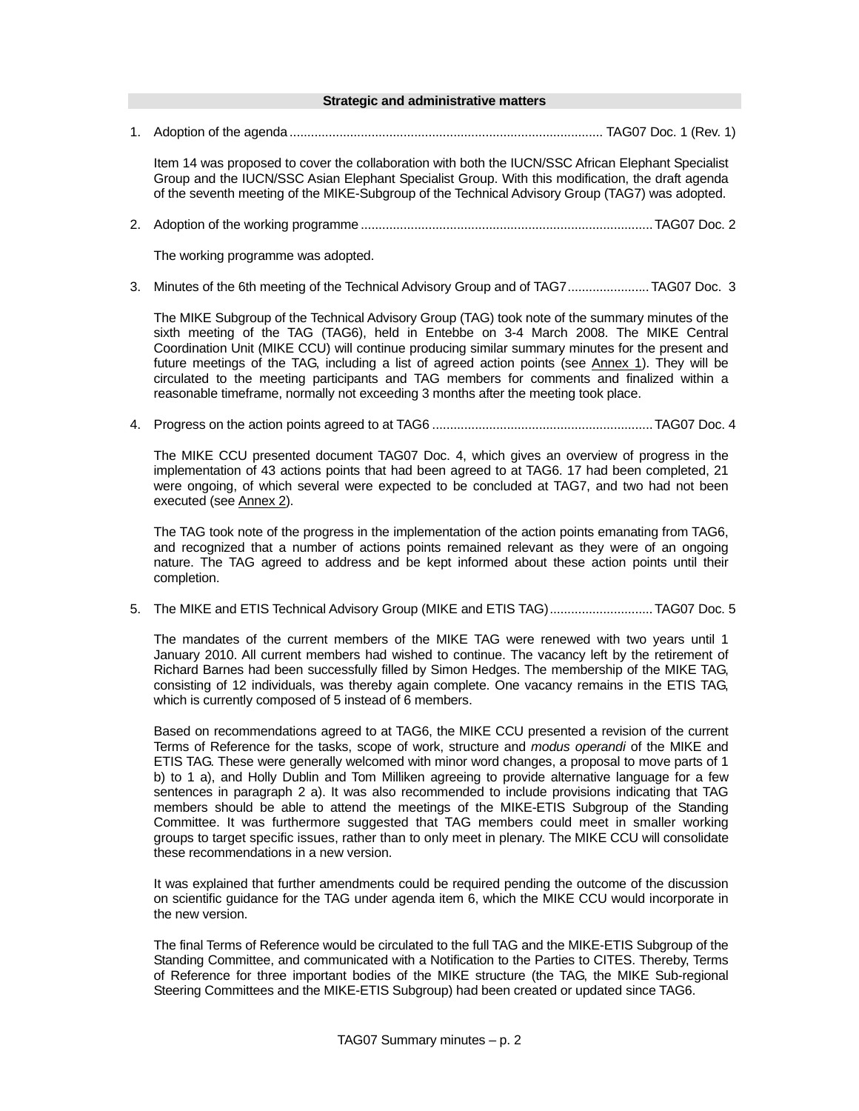## **Strategic and administrative matters**

1. Adoption of the agenda ........................................................................................ TAG07 Doc. 1 (Rev. 1)

Item 14 was proposed to cover the collaboration with both the IUCN/SSC African Elephant Specialist Group and the IUCN/SSC Asian Elephant Specialist Group. With this modification, the draft agenda of the seventh meeting of the MIKE-Subgroup of the Technical Advisory Group (TAG7) was adopted.

2. Adoption of the working programme ..................................................................................TAG07 Doc. 2

The working programme was adopted.

3. Minutes of the 6th meeting of the Technical Advisory Group and of TAG7....................... TAG07 Doc. 3

The MIKE Subgroup of the Technical Advisory Group (TAG) took note of the summary minutes of the sixth meeting of the TAG (TAG6), held in Entebbe on 3-4 March 2008. The MIKE Central Coordination Unit (MIKE CCU) will continue producing similar summary minutes for the present and future meetings of the TAG, including a list of agreed action points (see Annex 1). They will be circulated to the meeting participants and TAG members for comments and finalized within a reasonable timeframe, normally not exceeding 3 months after the meeting took place.

4. Progress on the action points agreed to at TAG6 ..............................................................TAG07 Doc. 4

The MIKE CCU presented document TAG07 Doc. 4, which gives an overview of progress in the implementation of 43 actions points that had been agreed to at TAG6. 17 had been completed, 21 were ongoing, of which several were expected to be concluded at TAG7, and two had not been executed (see Annex 2).

The TAG took note of the progress in the implementation of the action points emanating from TAG6, and recognized that a number of actions points remained relevant as they were of an ongoing nature. The TAG agreed to address and be kept informed about these action points until their completion.

5. The MIKE and ETIS Technical Advisory Group (MIKE and ETIS TAG).............................TAG07 Doc. 5

The mandates of the current members of the MIKE TAG were renewed with two years until 1 January 2010. All current members had wished to continue. The vacancy left by the retirement of Richard Barnes had been successfully filled by Simon Hedges. The membership of the MIKE TAG, consisting of 12 individuals, was thereby again complete. One vacancy remains in the ETIS TAG, which is currently composed of 5 instead of 6 members.

Based on recommendations agreed to at TAG6, the MIKE CCU presented a revision of the current Terms of Reference for the tasks, scope of work, structure and *modus operandi* of the MIKE and ETIS TAG. These were generally welcomed with minor word changes, a proposal to move parts of 1 b) to 1 a), and Holly Dublin and Tom Milliken agreeing to provide alternative language for a few sentences in paragraph 2 a). It was also recommended to include provisions indicating that TAG members should be able to attend the meetings of the MIKE-ETIS Subgroup of the Standing Committee. It was furthermore suggested that TAG members could meet in smaller working groups to target specific issues, rather than to only meet in plenary. The MIKE CCU will consolidate these recommendations in a new version.

It was explained that further amendments could be required pending the outcome of the discussion on scientific guidance for the TAG under agenda item 6, which the MIKE CCU would incorporate in the new version.

The final Terms of Reference would be circulated to the full TAG and the MIKE-ETIS Subgroup of the Standing Committee, and communicated with a Notification to the Parties to CITES. Thereby, Terms of Reference for three important bodies of the MIKE structure (the TAG, the MIKE Sub-regional Steering Committees and the MIKE-ETIS Subgroup) had been created or updated since TAG6.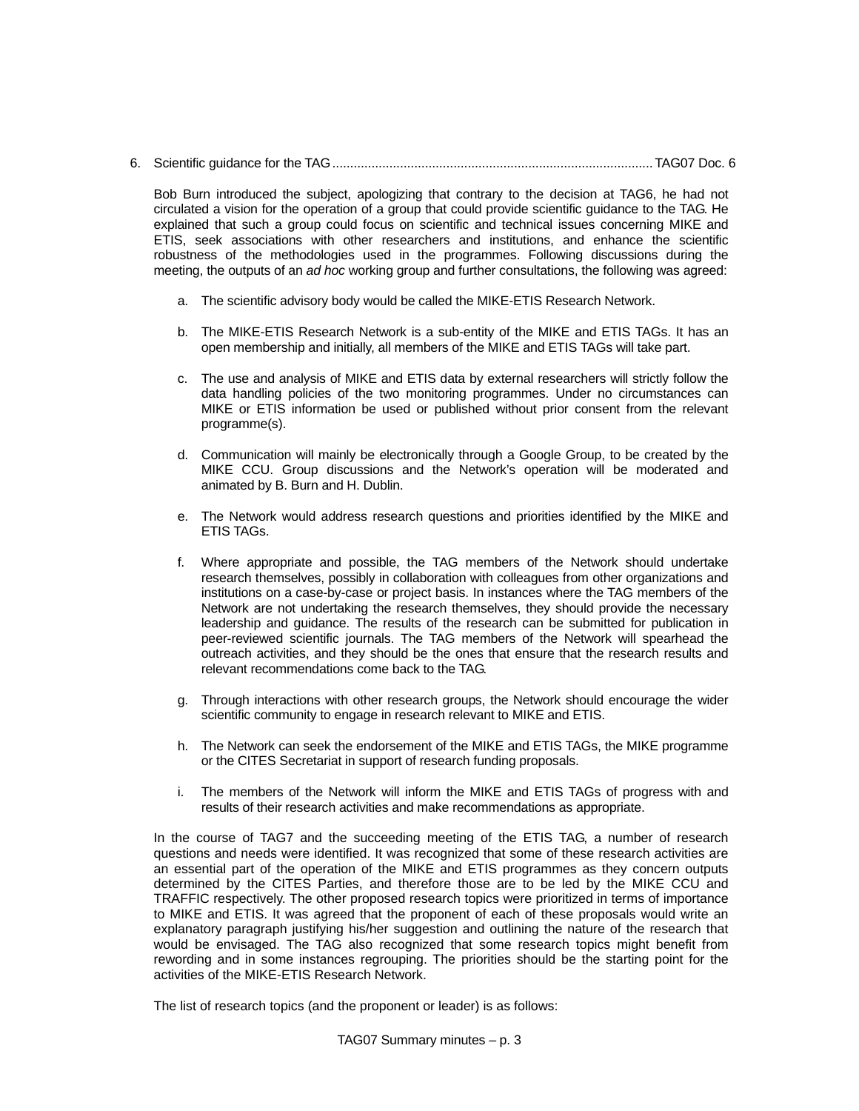6. Scientific guidance for the TAG..........................................................................................TAG07 Doc. 6

Bob Burn introduced the subject, apologizing that contrary to the decision at TAG6, he had not circulated a vision for the operation of a group that could provide scientific guidance to the TAG. He explained that such a group could focus on scientific and technical issues concerning MIKE and ETIS, seek associations with other researchers and institutions, and enhance the scientific robustness of the methodologies used in the programmes. Following discussions during the meeting, the outputs of an *ad hoc* working group and further consultations, the following was agreed:

- a. The scientific advisory body would be called the MIKE-ETIS Research Network.
- b. The MIKE-ETIS Research Network is a sub-entity of the MIKE and ETIS TAGs. It has an open membership and initially, all members of the MIKE and ETIS TAGs will take part.
- c. The use and analysis of MIKE and ETIS data by external researchers will strictly follow the data handling policies of the two monitoring programmes. Under no circumstances can MIKE or ETIS information be used or published without prior consent from the relevant programme(s).
- d. Communication will mainly be electronically through a Google Group, to be created by the MIKE CCU. Group discussions and the Network's operation will be moderated and animated by B. Burn and H. Dublin.
- e. The Network would address research questions and priorities identified by the MIKE and ETIS TAGs.
- f. Where appropriate and possible, the TAG members of the Network should undertake research themselves, possibly in collaboration with colleagues from other organizations and institutions on a case-by-case or project basis. In instances where the TAG members of the Network are not undertaking the research themselves, they should provide the necessary leadership and guidance. The results of the research can be submitted for publication in peer-reviewed scientific journals. The TAG members of the Network will spearhead the outreach activities, and they should be the ones that ensure that the research results and relevant recommendations come back to the TAG.
- g. Through interactions with other research groups, the Network should encourage the wider scientific community to engage in research relevant to MIKE and ETIS.
- h. The Network can seek the endorsement of the MIKE and ETIS TAGs, the MIKE programme or the CITES Secretariat in support of research funding proposals.
- i. The members of the Network will inform the MIKE and ETIS TAGs of progress with and results of their research activities and make recommendations as appropriate.

In the course of TAG7 and the succeeding meeting of the ETIS TAG, a number of research questions and needs were identified. It was recognized that some of these research activities are an essential part of the operation of the MIKE and ETIS programmes as they concern outputs determined by the CITES Parties, and therefore those are to be led by the MIKE CCU and TRAFFIC respectively. The other proposed research topics were prioritized in terms of importance to MIKE and ETIS. It was agreed that the proponent of each of these proposals would write an explanatory paragraph justifying his/her suggestion and outlining the nature of the research that would be envisaged. The TAG also recognized that some research topics might benefit from rewording and in some instances regrouping. The priorities should be the starting point for the activities of the MIKE-ETIS Research Network.

The list of research topics (and the proponent or leader) is as follows: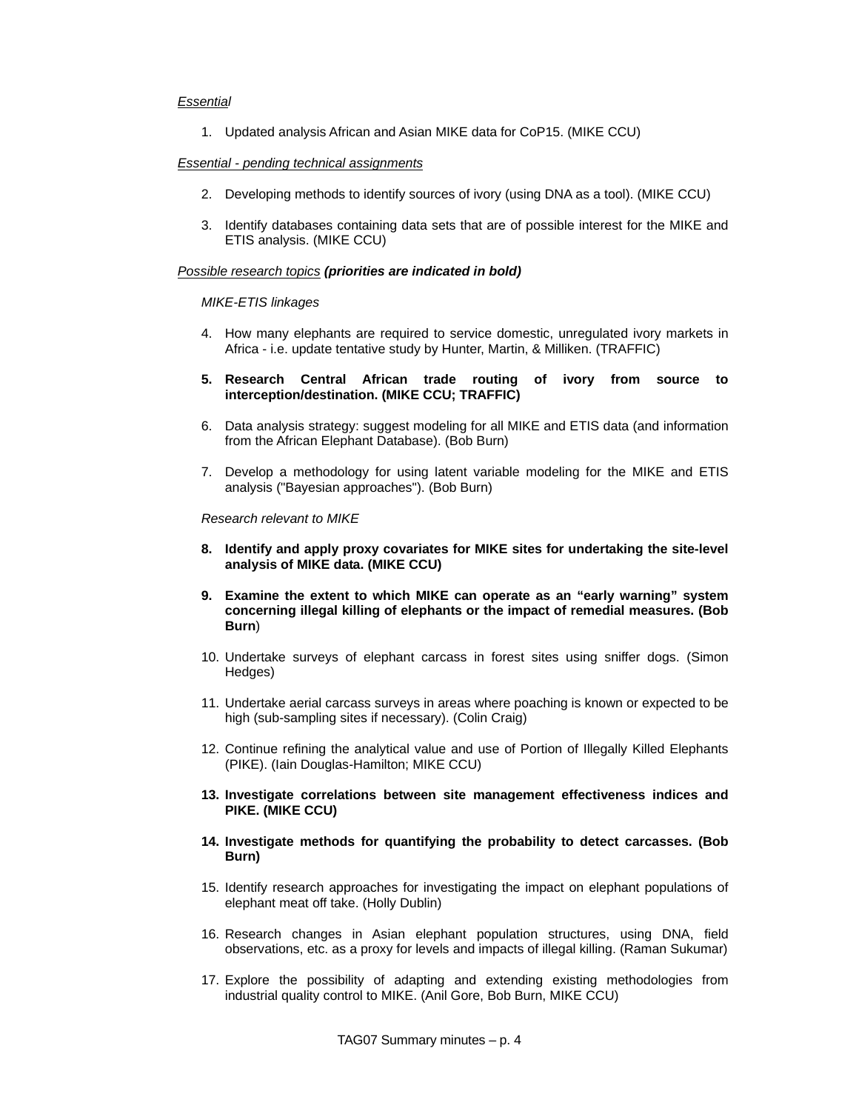# *Essential*

1. Updated analysis African and Asian MIKE data for CoP15. (MIKE CCU)

## *Essential - pending technical assignments*

- 2. Developing methods to identify sources of ivory (using DNA as a tool). (MIKE CCU)
- 3. Identify databases containing data sets that are of possible interest for the MIKE and ETIS analysis. (MIKE CCU)

# *Possible research topics (priorities are indicated in bold)*

### *MIKE-ETIS linkages*

- 4. How many elephants are required to service domestic, unregulated ivory markets in Africa - i.e. update tentative study by Hunter, Martin, & Milliken. (TRAFFIC)
- **5. Research Central African trade routing of ivory from source to interception/destination. (MIKE CCU; TRAFFIC)**
- 6. Data analysis strategy: suggest modeling for all MIKE and ETIS data (and information from the African Elephant Database). (Bob Burn)
- 7. Develop a methodology for using latent variable modeling for the MIKE and ETIS analysis ("Bayesian approaches"). (Bob Burn)

*Research relevant to MIKE* 

- **8. Identify and apply proxy covariates for MIKE sites for undertaking the site-level analysis of MIKE data. (MIKE CCU)**
- **9. Examine the extent to which MIKE can operate as an "early warning" system concerning illegal killing of elephants or the impact of remedial measures. (Bob Burn**)
- 10. Undertake surveys of elephant carcass in forest sites using sniffer dogs. (Simon Hedges)
- 11. Undertake aerial carcass surveys in areas where poaching is known or expected to be high (sub-sampling sites if necessary). (Colin Craig)
- 12. Continue refining the analytical value and use of Portion of Illegally Killed Elephants (PIKE). (Iain Douglas-Hamilton; MIKE CCU)
- **13. Investigate correlations between site management effectiveness indices and PIKE. (MIKE CCU)**
- **14. Investigate methods for quantifying the probability to detect carcasses. (Bob Burn)**
- 15. Identify research approaches for investigating the impact on elephant populations of elephant meat off take. (Holly Dublin)
- 16. Research changes in Asian elephant population structures, using DNA, field observations, etc. as a proxy for levels and impacts of illegal killing. (Raman Sukumar)
- 17. Explore the possibility of adapting and extending existing methodologies from industrial quality control to MIKE. (Anil Gore, Bob Burn, MIKE CCU)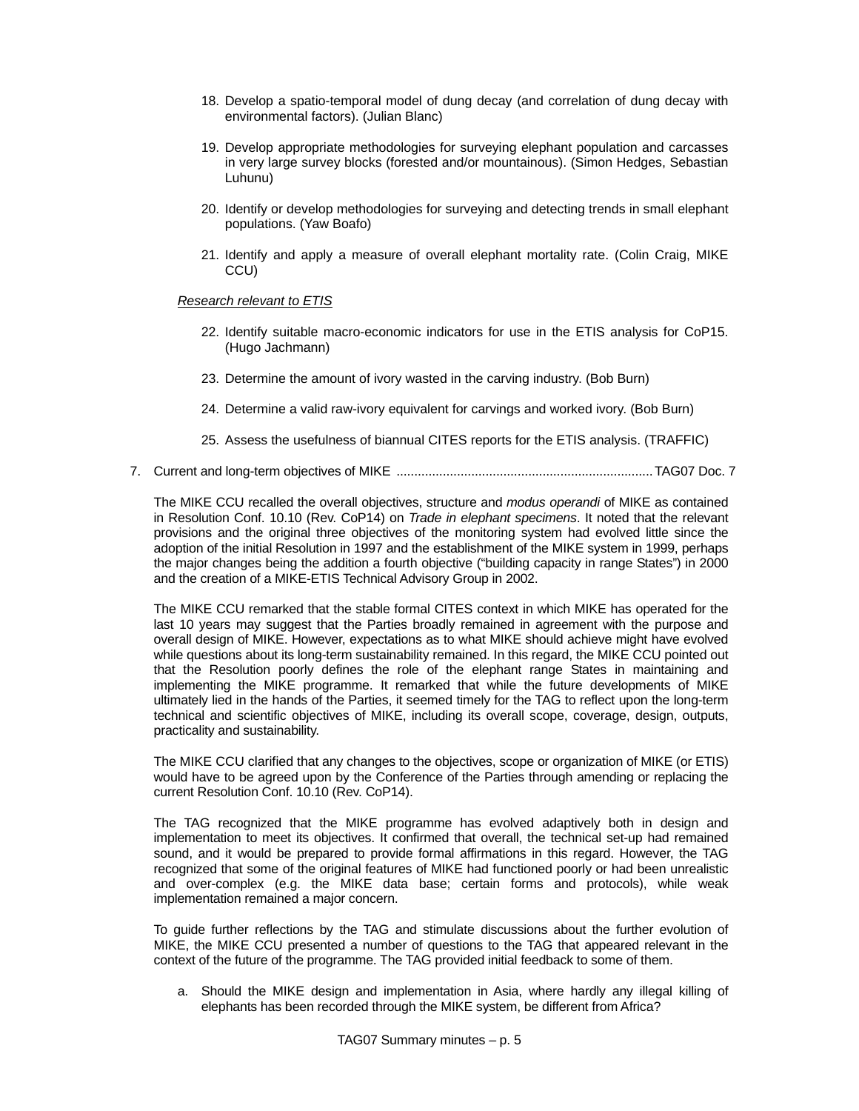- 18. Develop a spatio-temporal model of dung decay (and correlation of dung decay with environmental factors). (Julian Blanc)
- 19. Develop appropriate methodologies for surveying elephant population and carcasses in very large survey blocks (forested and/or mountainous). (Simon Hedges, Sebastian Luhunu)
- 20. Identify or develop methodologies for surveying and detecting trends in small elephant populations. (Yaw Boafo)
- 21. Identify and apply a measure of overall elephant mortality rate. (Colin Craig, MIKE CCU)

# *Research relevant to ETIS*

- 22. Identify suitable macro-economic indicators for use in the ETIS analysis for CoP15. (Hugo Jachmann)
- 23. Determine the amount of ivory wasted in the carving industry. (Bob Burn)
- 24. Determine a valid raw-ivory equivalent for carvings and worked ivory. (Bob Burn)
- 25. Assess the usefulness of biannual CITES reports for the ETIS analysis. (TRAFFIC)
- 7. Current and long-term objectives of MIKE ........................................................................TAG07 Doc. 7

The MIKE CCU recalled the overall objectives, structure and *modus operandi* of MIKE as contained in Resolution Conf. 10.10 (Rev. CoP14) on *Trade in elephant specimens*. It noted that the relevant provisions and the original three objectives of the monitoring system had evolved little since the adoption of the initial Resolution in 1997 and the establishment of the MIKE system in 1999, perhaps the major changes being the addition a fourth objective ("building capacity in range States") in 2000 and the creation of a MIKE-ETIS Technical Advisory Group in 2002.

The MIKE CCU remarked that the stable formal CITES context in which MIKE has operated for the last 10 years may suggest that the Parties broadly remained in agreement with the purpose and overall design of MIKE. However, expectations as to what MIKE should achieve might have evolved while questions about its long-term sustainability remained. In this regard, the MIKE CCU pointed out that the Resolution poorly defines the role of the elephant range States in maintaining and implementing the MIKE programme. It remarked that while the future developments of MIKE ultimately lied in the hands of the Parties, it seemed timely for the TAG to reflect upon the long-term technical and scientific objectives of MIKE, including its overall scope, coverage, design, outputs, practicality and sustainability.

The MIKE CCU clarified that any changes to the objectives, scope or organization of MIKE (or ETIS) would have to be agreed upon by the Conference of the Parties through amending or replacing the current Resolution Conf. 10.10 (Rev. CoP14).

The TAG recognized that the MIKE programme has evolved adaptively both in design and implementation to meet its objectives. It confirmed that overall, the technical set-up had remained sound, and it would be prepared to provide formal affirmations in this regard. However, the TAG recognized that some of the original features of MIKE had functioned poorly or had been unrealistic and over-complex (e.g. the MIKE data base; certain forms and protocols), while weak implementation remained a major concern.

To guide further reflections by the TAG and stimulate discussions about the further evolution of MIKE, the MIKE CCU presented a number of questions to the TAG that appeared relevant in the context of the future of the programme. The TAG provided initial feedback to some of them.

a. Should the MIKE design and implementation in Asia, where hardly any illegal killing of elephants has been recorded through the MIKE system, be different from Africa?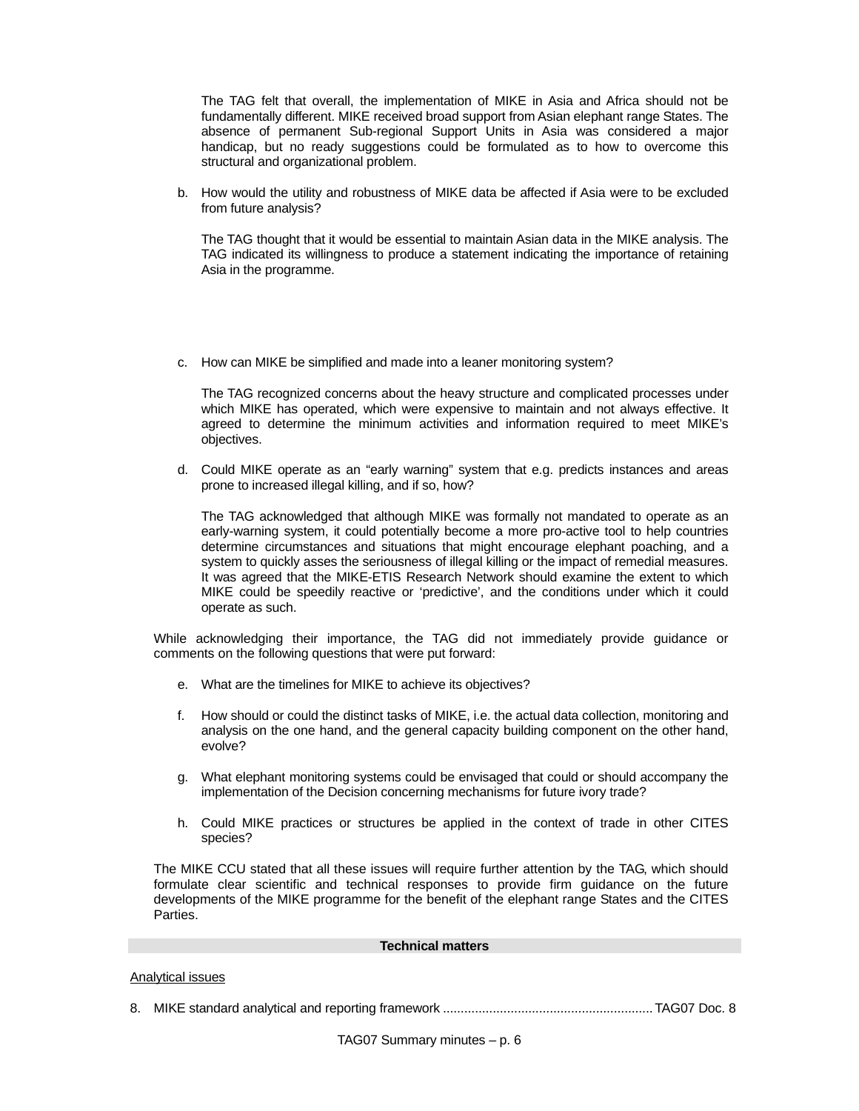The TAG felt that overall, the implementation of MIKE in Asia and Africa should not be fundamentally different. MIKE received broad support from Asian elephant range States. The absence of permanent Sub-regional Support Units in Asia was considered a major handicap, but no ready suggestions could be formulated as to how to overcome this structural and organizational problem.

b. How would the utility and robustness of MIKE data be affected if Asia were to be excluded from future analysis?

The TAG thought that it would be essential to maintain Asian data in the MIKE analysis. The TAG indicated its willingness to produce a statement indicating the importance of retaining Asia in the programme.

c. How can MIKE be simplified and made into a leaner monitoring system?

The TAG recognized concerns about the heavy structure and complicated processes under which MIKE has operated, which were expensive to maintain and not always effective. It agreed to determine the minimum activities and information required to meet MIKE's objectives.

d. Could MIKE operate as an "early warning" system that e.g. predicts instances and areas prone to increased illegal killing, and if so, how?

The TAG acknowledged that although MIKE was formally not mandated to operate as an early-warning system, it could potentially become a more pro-active tool to help countries determine circumstances and situations that might encourage elephant poaching, and a system to quickly asses the seriousness of illegal killing or the impact of remedial measures. It was agreed that the MIKE-ETIS Research Network should examine the extent to which MIKE could be speedily reactive or 'predictive', and the conditions under which it could operate as such.

While acknowledging their importance, the TAG did not immediately provide guidance or comments on the following questions that were put forward:

- e. What are the timelines for MIKE to achieve its objectives?
- f. How should or could the distinct tasks of MIKE, i.e. the actual data collection, monitoring and analysis on the one hand, and the general capacity building component on the other hand, evolve?
- g. What elephant monitoring systems could be envisaged that could or should accompany the implementation of the Decision concerning mechanisms for future ivory trade?
- h. Could MIKE practices or structures be applied in the context of trade in other CITES species?

The MIKE CCU stated that all these issues will require further attention by the TAG, which should formulate clear scientific and technical responses to provide firm guidance on the future developments of the MIKE programme for the benefit of the elephant range States and the CITES Parties.

#### **Technical matters**

#### Analytical issues

8. MIKE standard analytical and reporting framework ...........................................................TAG07 Doc. 8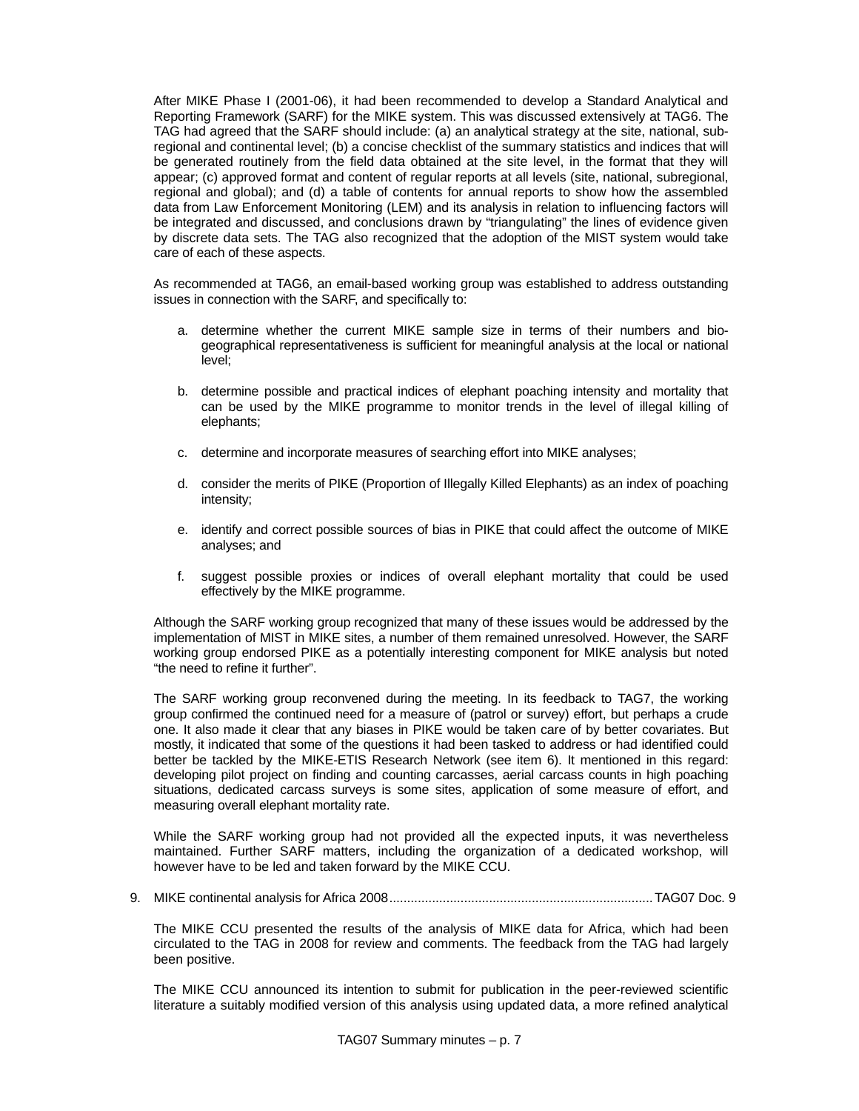After MIKE Phase I (2001-06), it had been recommended to develop a Standard Analytical and Reporting Framework (SARF) for the MIKE system. This was discussed extensively at TAG6. The TAG had agreed that the SARF should include: (a) an analytical strategy at the site, national, subregional and continental level; (b) a concise checklist of the summary statistics and indices that will be generated routinely from the field data obtained at the site level, in the format that they will appear; (c) approved format and content of regular reports at all levels (site, national, subregional, regional and global); and (d) a table of contents for annual reports to show how the assembled data from Law Enforcement Monitoring (LEM) and its analysis in relation to influencing factors will be integrated and discussed, and conclusions drawn by "triangulating" the lines of evidence given by discrete data sets. The TAG also recognized that the adoption of the MIST system would take care of each of these aspects.

As recommended at TAG6, an email-based working group was established to address outstanding issues in connection with the SARF, and specifically to:

- a. determine whether the current MIKE sample size in terms of their numbers and biogeographical representativeness is sufficient for meaningful analysis at the local or national level;
- b. determine possible and practical indices of elephant poaching intensity and mortality that can be used by the MIKE programme to monitor trends in the level of illegal killing of elephants;
- c. determine and incorporate measures of searching effort into MIKE analyses;
- d. consider the merits of PIKE (Proportion of Illegally Killed Elephants) as an index of poaching intensity;
- e. identify and correct possible sources of bias in PIKE that could affect the outcome of MIKE analyses; and
- f. suggest possible proxies or indices of overall elephant mortality that could be used effectively by the MIKE programme.

Although the SARF working group recognized that many of these issues would be addressed by the implementation of MIST in MIKE sites, a number of them remained unresolved. However, the SARF working group endorsed PIKE as a potentially interesting component for MIKE analysis but noted "the need to refine it further".

The SARF working group reconvened during the meeting. In its feedback to TAG7, the working group confirmed the continued need for a measure of (patrol or survey) effort, but perhaps a crude one. It also made it clear that any biases in PIKE would be taken care of by better covariates. But mostly, it indicated that some of the questions it had been tasked to address or had identified could better be tackled by the MIKE-ETIS Research Network (see item 6). It mentioned in this regard: developing pilot project on finding and counting carcasses, aerial carcass counts in high poaching situations, dedicated carcass surveys is some sites, application of some measure of effort, and measuring overall elephant mortality rate.

While the SARF working group had not provided all the expected inputs, it was nevertheless maintained. Further SARF matters, including the organization of a dedicated workshop, will however have to be led and taken forward by the MIKE CCU.

9. MIKE continental analysis for Africa 2008..........................................................................TAG07 Doc. 9

The MIKE CCU presented the results of the analysis of MIKE data for Africa, which had been circulated to the TAG in 2008 for review and comments. The feedback from the TAG had largely been positive.

The MIKE CCU announced its intention to submit for publication in the peer-reviewed scientific literature a suitably modified version of this analysis using updated data, a more refined analytical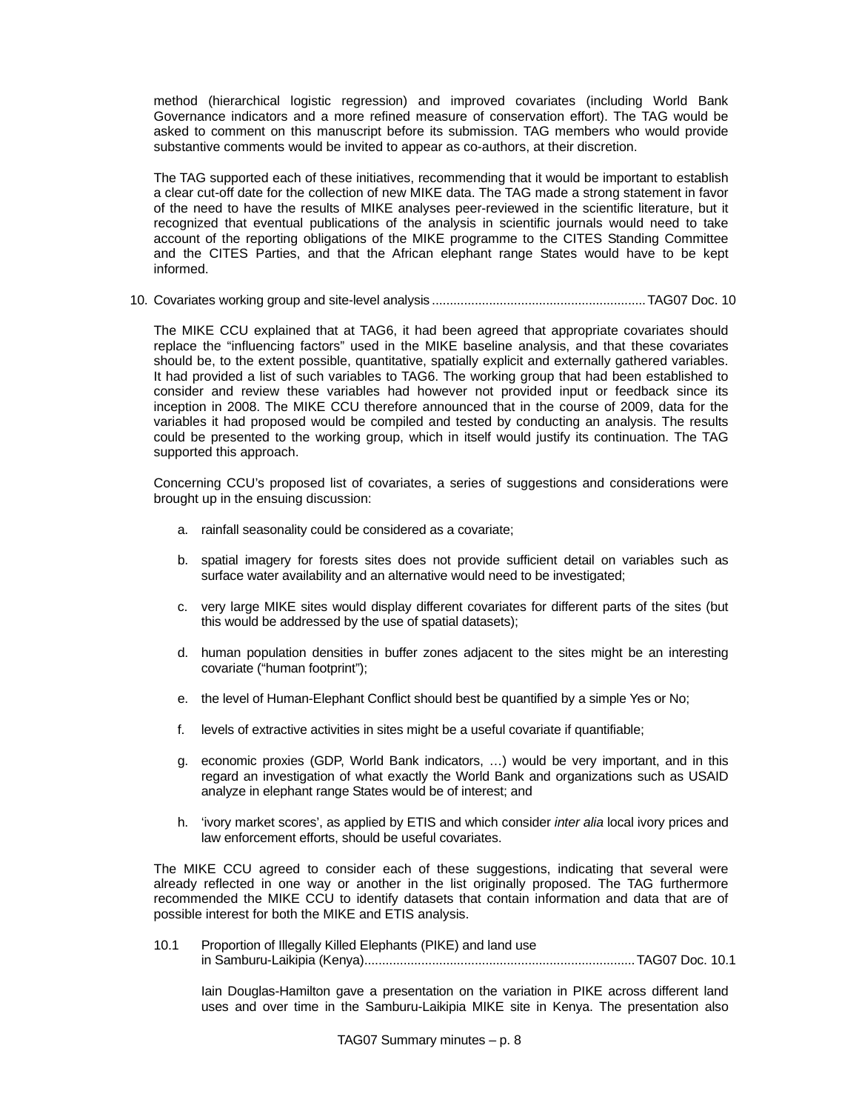method (hierarchical logistic regression) and improved covariates (including World Bank Governance indicators and a more refined measure of conservation effort). The TAG would be asked to comment on this manuscript before its submission. TAG members who would provide substantive comments would be invited to appear as co-authors, at their discretion.

The TAG supported each of these initiatives, recommending that it would be important to establish a clear cut-off date for the collection of new MIKE data. The TAG made a strong statement in favor of the need to have the results of MIKE analyses peer-reviewed in the scientific literature, but it recognized that eventual publications of the analysis in scientific journals would need to take account of the reporting obligations of the MIKE programme to the CITES Standing Committee and the CITES Parties, and that the African elephant range States would have to be kept informed.

10. Covariates working group and site-level analysis ............................................................TAG07 Doc. 10

The MIKE CCU explained that at TAG6, it had been agreed that appropriate covariates should replace the "influencing factors" used in the MIKE baseline analysis, and that these covariates should be, to the extent possible, quantitative, spatially explicit and externally gathered variables. It had provided a list of such variables to TAG6. The working group that had been established to consider and review these variables had however not provided input or feedback since its inception in 2008. The MIKE CCU therefore announced that in the course of 2009, data for the variables it had proposed would be compiled and tested by conducting an analysis. The results could be presented to the working group, which in itself would justify its continuation. The TAG supported this approach.

Concerning CCU's proposed list of covariates, a series of suggestions and considerations were brought up in the ensuing discussion:

- a. rainfall seasonality could be considered as a covariate;
- b. spatial imagery for forests sites does not provide sufficient detail on variables such as surface water availability and an alternative would need to be investigated;
- c. very large MIKE sites would display different covariates for different parts of the sites (but this would be addressed by the use of spatial datasets);
- d. human population densities in buffer zones adjacent to the sites might be an interesting covariate ("human footprint");
- e. the level of Human-Elephant Conflict should best be quantified by a simple Yes or No;
- f. levels of extractive activities in sites might be a useful covariate if quantifiable;
- g. economic proxies (GDP, World Bank indicators, …) would be very important, and in this regard an investigation of what exactly the World Bank and organizations such as USAID analyze in elephant range States would be of interest; and
- h. 'ivory market scores', as applied by ETIS and which consider *inter alia* local ivory prices and law enforcement efforts, should be useful covariates.

The MIKE CCU agreed to consider each of these suggestions, indicating that several were already reflected in one way or another in the list originally proposed. The TAG furthermore recommended the MIKE CCU to identify datasets that contain information and data that are of possible interest for both the MIKE and ETIS analysis.

10.1 Proportion of Illegally Killed Elephants (PIKE) and land use in Samburu-Laikipia (Kenya)............................................................................TAG07 Doc. 10.1

Iain Douglas-Hamilton gave a presentation on the variation in PIKE across different land uses and over time in the Samburu-Laikipia MIKE site in Kenya. The presentation also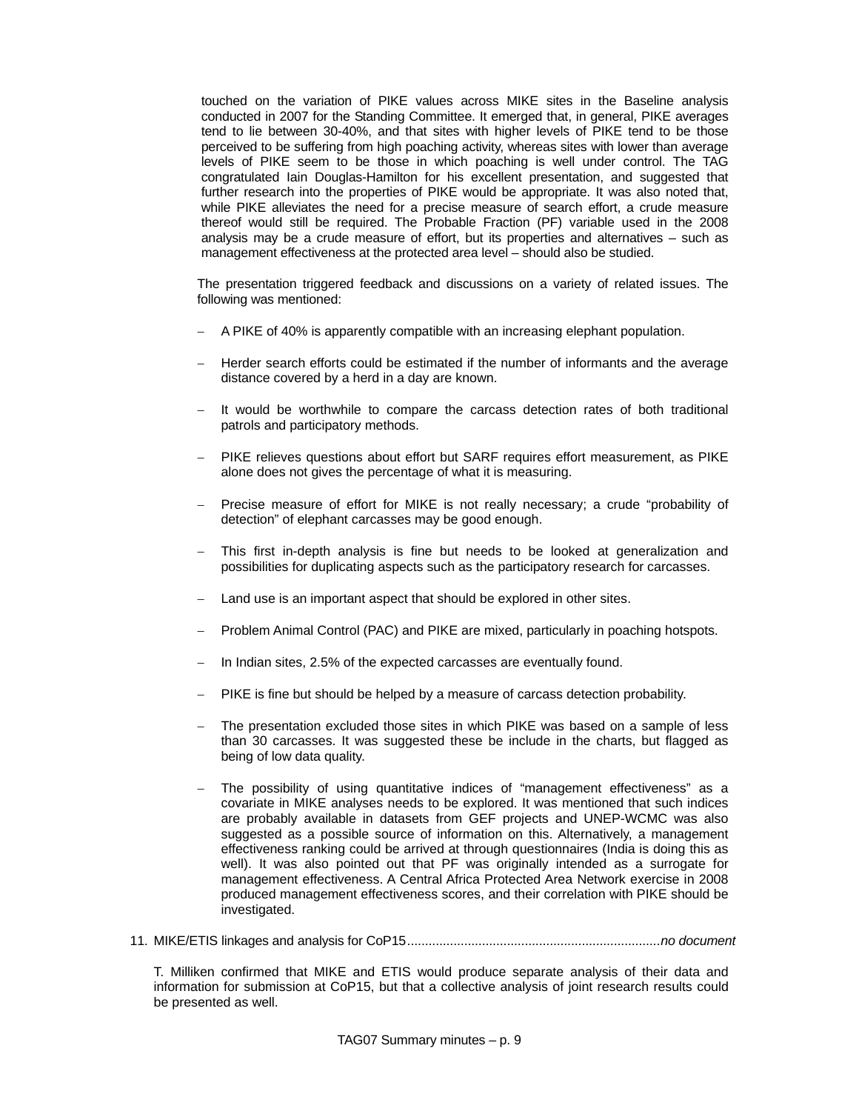touched on the variation of PIKE values across MIKE sites in the Baseline analysis conducted in 2007 for the Standing Committee. It emerged that, in general, PIKE averages tend to lie between 30-40%, and that sites with higher levels of PIKE tend to be those perceived to be suffering from high poaching activity, whereas sites with lower than average levels of PIKE seem to be those in which poaching is well under control. The TAG congratulated Iain Douglas-Hamilton for his excellent presentation, and suggested that further research into the properties of PIKE would be appropriate. It was also noted that, while PIKE alleviates the need for a precise measure of search effort, a crude measure thereof would still be required. The Probable Fraction (PF) variable used in the 2008 analysis may be a crude measure of effort, but its properties and alternatives – such as management effectiveness at the protected area level – should also be studied.

The presentation triggered feedback and discussions on a variety of related issues. The following was mentioned:

- − A PIKE of 40% is apparently compatible with an increasing elephant population.
- Herder search efforts could be estimated if the number of informants and the average distance covered by a herd in a day are known.
- − It would be worthwhile to compare the carcass detection rates of both traditional patrols and participatory methods.
- PIKE relieves questions about effort but SARF requires effort measurement, as PIKE alone does not gives the percentage of what it is measuring.
- − Precise measure of effort for MIKE is not really necessary; a crude "probability of detection" of elephant carcasses may be good enough.
- − This first in-depth analysis is fine but needs to be looked at generalization and possibilities for duplicating aspects such as the participatory research for carcasses.
- − Land use is an important aspect that should be explored in other sites.
- − Problem Animal Control (PAC) and PIKE are mixed, particularly in poaching hotspots.
- In Indian sites, 2.5% of the expected carcasses are eventually found.
- PIKE is fine but should be helped by a measure of carcass detection probability.
- The presentation excluded those sites in which PIKE was based on a sample of less than 30 carcasses. It was suggested these be include in the charts, but flagged as being of low data quality.
- The possibility of using quantitative indices of "management effectiveness" as a covariate in MIKE analyses needs to be explored. It was mentioned that such indices are probably available in datasets from GEF projects and UNEP-WCMC was also suggested as a possible source of information on this. Alternatively, a management effectiveness ranking could be arrived at through questionnaires (India is doing this as well). It was also pointed out that PF was originally intended as a surrogate for management effectiveness. A Central Africa Protected Area Network exercise in 2008 produced management effectiveness scores, and their correlation with PIKE should be investigated.
- 11. MIKE/ETIS linkages and analysis for CoP15.......................................................................*no document*

T. Milliken confirmed that MIKE and ETIS would produce separate analysis of their data and information for submission at CoP15, but that a collective analysis of joint research results could be presented as well.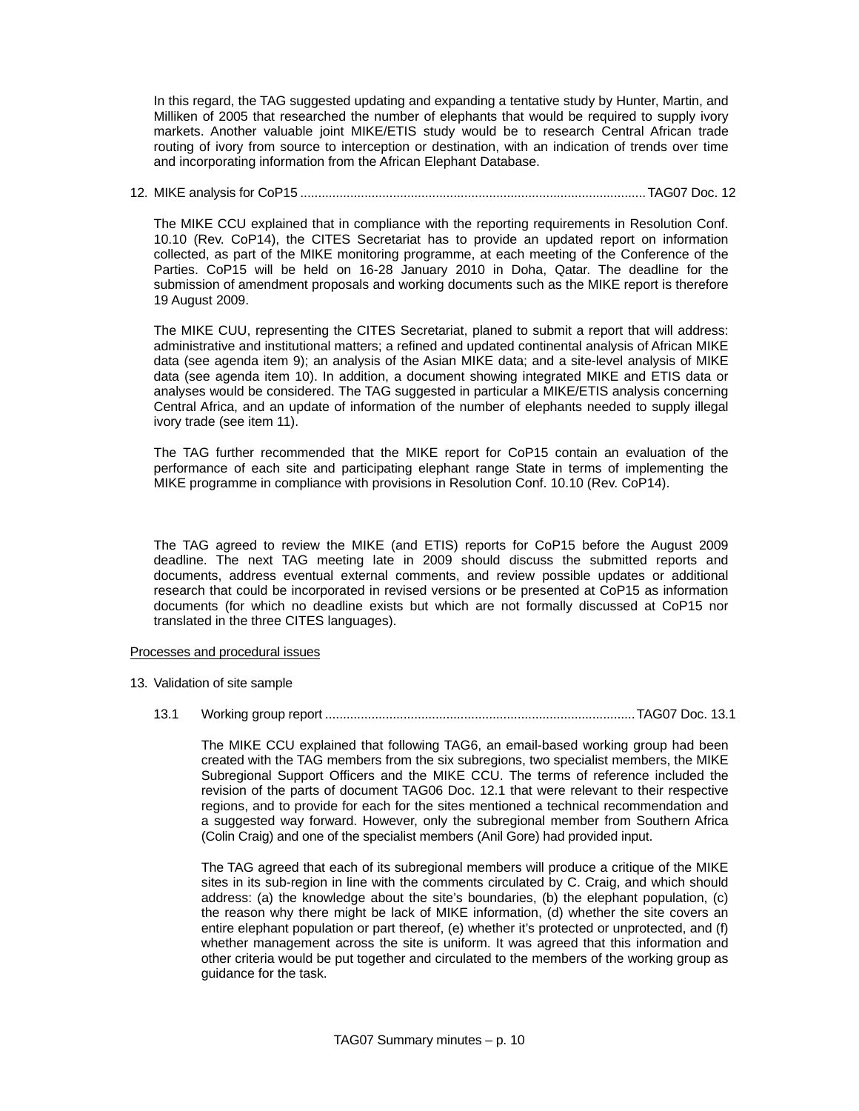In this regard, the TAG suggested updating and expanding a tentative study by Hunter, Martin, and Milliken of 2005 that researched the number of elephants that would be required to supply ivory markets. Another valuable joint MIKE/ETIS study would be to research Central African trade routing of ivory from source to interception or destination, with an indication of trends over time and incorporating information from the African Elephant Database.

# 12. MIKE analysis for CoP15 .................................................................................................TAG07 Doc. 12

The MIKE CCU explained that in compliance with the reporting requirements in Resolution Conf. 10.10 (Rev. CoP14), the CITES Secretariat has to provide an updated report on information collected, as part of the MIKE monitoring programme, at each meeting of the Conference of the Parties. CoP15 will be held on 16-28 January 2010 in Doha, Qatar. The deadline for the submission of amendment proposals and working documents such as the MIKE report is therefore 19 August 2009.

The MIKE CUU, representing the CITES Secretariat, planed to submit a report that will address: administrative and institutional matters; a refined and updated continental analysis of African MIKE data (see agenda item 9); an analysis of the Asian MIKE data; and a site-level analysis of MIKE data (see agenda item 10). In addition, a document showing integrated MIKE and ETIS data or analyses would be considered. The TAG suggested in particular a MIKE/ETIS analysis concerning Central Africa, and an update of information of the number of elephants needed to supply illegal ivory trade (see item 11).

The TAG further recommended that the MIKE report for CoP15 contain an evaluation of the performance of each site and participating elephant range State in terms of implementing the MIKE programme in compliance with provisions in Resolution Conf. 10.10 (Rev. CoP14).

The TAG agreed to review the MIKE (and ETIS) reports for CoP15 before the August 2009 deadline. The next TAG meeting late in 2009 should discuss the submitted reports and documents, address eventual external comments, and review possible updates or additional research that could be incorporated in revised versions or be presented at CoP15 as information documents (for which no deadline exists but which are not formally discussed at CoP15 nor translated in the three CITES languages).

# Processes and procedural issues

- 13. Validation of site sample
	- 13.1 Working group report .......................................................................................TAG07 Doc. 13.1

The MIKE CCU explained that following TAG6, an email-based working group had been created with the TAG members from the six subregions, two specialist members, the MIKE Subregional Support Officers and the MIKE CCU. The terms of reference included the revision of the parts of document TAG06 Doc. 12.1 that were relevant to their respective regions, and to provide for each for the sites mentioned a technical recommendation and a suggested way forward. However, only the subregional member from Southern Africa (Colin Craig) and one of the specialist members (Anil Gore) had provided input.

The TAG agreed that each of its subregional members will produce a critique of the MIKE sites in its sub-region in line with the comments circulated by C. Craig, and which should address: (a) the knowledge about the site's boundaries, (b) the elephant population, (c) the reason why there might be lack of MIKE information, (d) whether the site covers an entire elephant population or part thereof, (e) whether it's protected or unprotected, and (f) whether management across the site is uniform. It was agreed that this information and other criteria would be put together and circulated to the members of the working group as guidance for the task.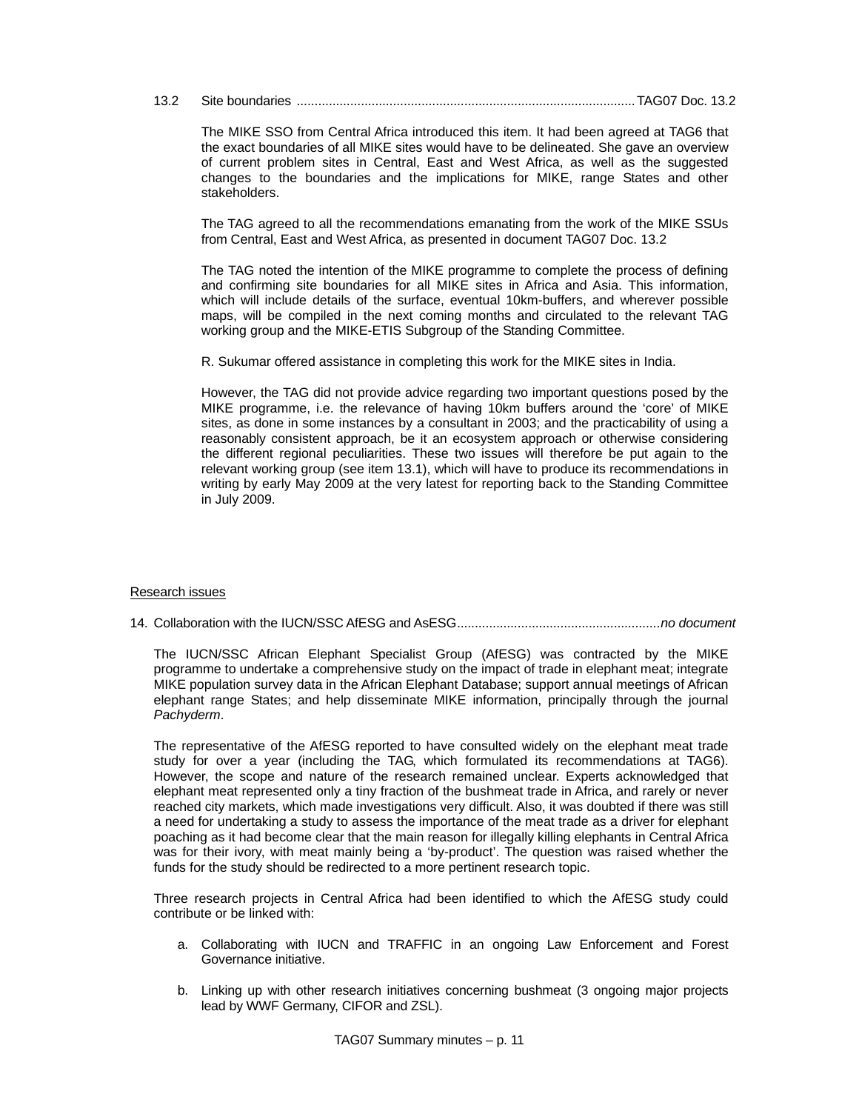# 13.2 Site boundaries ...............................................................................................TAG07 Doc. 13.2

The MIKE SSO from Central Africa introduced this item. It had been agreed at TAG6 that the exact boundaries of all MIKE sites would have to be delineated. She gave an overview of current problem sites in Central, East and West Africa, as well as the suggested changes to the boundaries and the implications for MIKE, range States and other stakeholders.

The TAG agreed to all the recommendations emanating from the work of the MIKE SSUs from Central, East and West Africa, as presented in document TAG07 Doc. 13.2

The TAG noted the intention of the MIKE programme to complete the process of defining and confirming site boundaries for all MIKE sites in Africa and Asia. This information, which will include details of the surface, eventual 10km-buffers, and wherever possible maps, will be compiled in the next coming months and circulated to the relevant TAG working group and the MIKE-ETIS Subgroup of the Standing Committee.

R. Sukumar offered assistance in completing this work for the MIKE sites in India.

However, the TAG did not provide advice regarding two important questions posed by the MIKE programme, i.e. the relevance of having 10km buffers around the 'core' of MIKE sites, as done in some instances by a consultant in 2003; and the practicability of using a reasonably consistent approach, be it an ecosystem approach or otherwise considering the different regional peculiarities. These two issues will therefore be put again to the relevant working group (see item 13.1), which will have to produce its recommendations in writing by early May 2009 at the very latest for reporting back to the Standing Committee in July 2009.

# Research issues

14. Collaboration with the IUCN/SSC AfESG and AsESG.........................................................*no document*

The IUCN/SSC African Elephant Specialist Group (AfESG) was contracted by the MIKE programme to undertake a comprehensive study on the impact of trade in elephant meat; integrate MIKE population survey data in the African Elephant Database; support annual meetings of African elephant range States; and help disseminate MIKE information, principally through the journal *Pachyderm*.

The representative of the AfESG reported to have consulted widely on the elephant meat trade study for over a year (including the TAG, which formulated its recommendations at TAG6). However, the scope and nature of the research remained unclear. Experts acknowledged that elephant meat represented only a tiny fraction of the bushmeat trade in Africa, and rarely or never reached city markets, which made investigations very difficult. Also, it was doubted if there was still a need for undertaking a study to assess the importance of the meat trade as a driver for elephant poaching as it had become clear that the main reason for illegally killing elephants in Central Africa was for their ivory, with meat mainly being a 'by-product'. The question was raised whether the funds for the study should be redirected to a more pertinent research topic.

Three research projects in Central Africa had been identified to which the AfESG study could contribute or be linked with:

- a. Collaborating with IUCN and TRAFFIC in an ongoing Law Enforcement and Forest Governance initiative.
- b. Linking up with other research initiatives concerning bushmeat (3 ongoing major projects lead by WWF Germany, CIFOR and ZSL).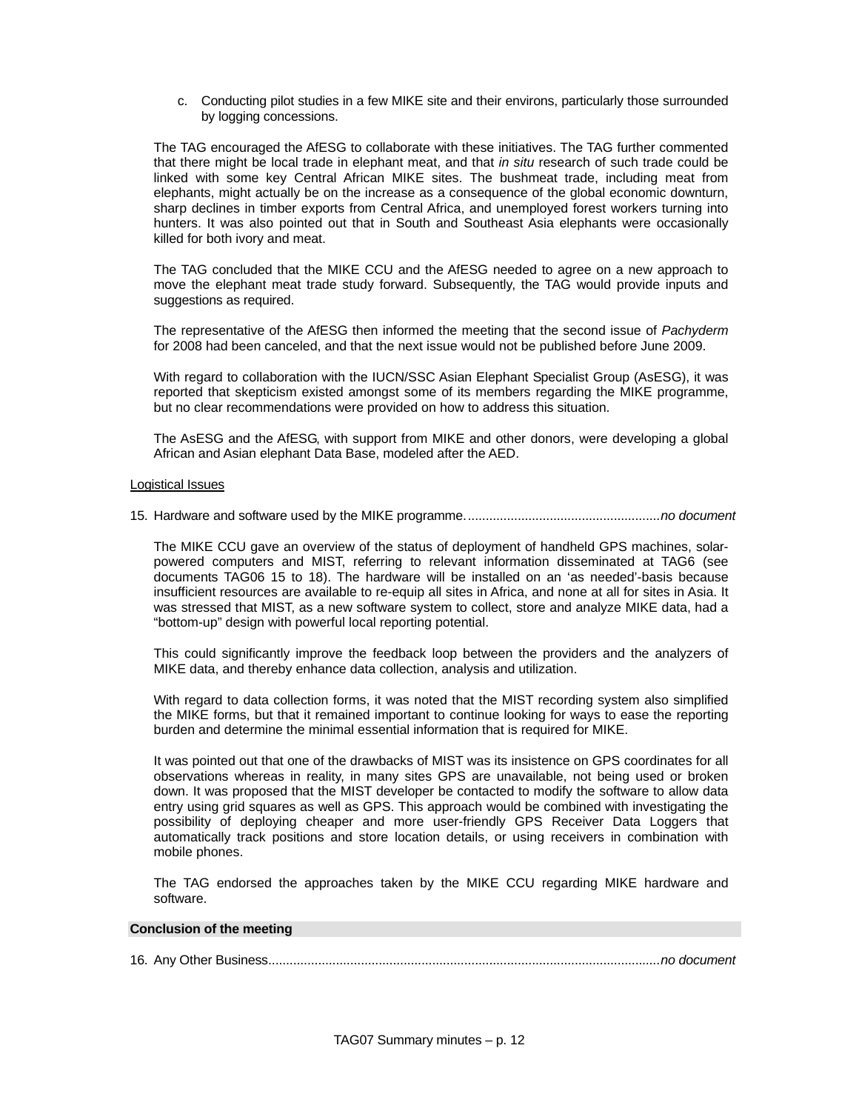c. Conducting pilot studies in a few MIKE site and their environs, particularly those surrounded by logging concessions.

The TAG encouraged the AfESG to collaborate with these initiatives. The TAG further commented that there might be local trade in elephant meat, and that *in situ* research of such trade could be linked with some key Central African MIKE sites. The bushmeat trade, including meat from elephants, might actually be on the increase as a consequence of the global economic downturn, sharp declines in timber exports from Central Africa, and unemployed forest workers turning into hunters. It was also pointed out that in South and Southeast Asia elephants were occasionally killed for both ivory and meat.

The TAG concluded that the MIKE CCU and the AfESG needed to agree on a new approach to move the elephant meat trade study forward. Subsequently, the TAG would provide inputs and suggestions as required.

The representative of the AfESG then informed the meeting that the second issue of *Pachyderm* for 2008 had been canceled, and that the next issue would not be published before June 2009.

With regard to collaboration with the IUCN/SSC Asian Elephant Specialist Group (AsESG), it was reported that skepticism existed amongst some of its members regarding the MIKE programme, but no clear recommendations were provided on how to address this situation.

The AsESG and the AfESG, with support from MIKE and other donors, were developing a global African and Asian elephant Data Base, modeled after the AED.

#### Logistical Issues

15. Hardware and software used by the MIKE programme.......................................................*no document*

The MIKE CCU gave an overview of the status of deployment of handheld GPS machines, solarpowered computers and MIST, referring to relevant information disseminated at TAG6 (see documents TAG06 15 to 18). The hardware will be installed on an 'as needed'-basis because insufficient resources are available to re-equip all sites in Africa, and none at all for sites in Asia. It was stressed that MIST, as a new software system to collect, store and analyze MIKE data, had a "bottom-up" design with powerful local reporting potential.

This could significantly improve the feedback loop between the providers and the analyzers of MIKE data, and thereby enhance data collection, analysis and utilization.

With regard to data collection forms, it was noted that the MIST recording system also simplified the MIKE forms, but that it remained important to continue looking for ways to ease the reporting burden and determine the minimal essential information that is required for MIKE.

It was pointed out that one of the drawbacks of MIST was its insistence on GPS coordinates for all observations whereas in reality, in many sites GPS are unavailable, not being used or broken down. It was proposed that the MIST developer be contacted to modify the software to allow data entry using grid squares as well as GPS. This approach would be combined with investigating the possibility of deploying cheaper and more user-friendly GPS Receiver Data Loggers that automatically track positions and store location details, or using receivers in combination with mobile phones.

The TAG endorsed the approaches taken by the MIKE CCU regarding MIKE hardware and software.

### **Conclusion of the meeting**

16. Any Other Business..............................................................................................................*no document*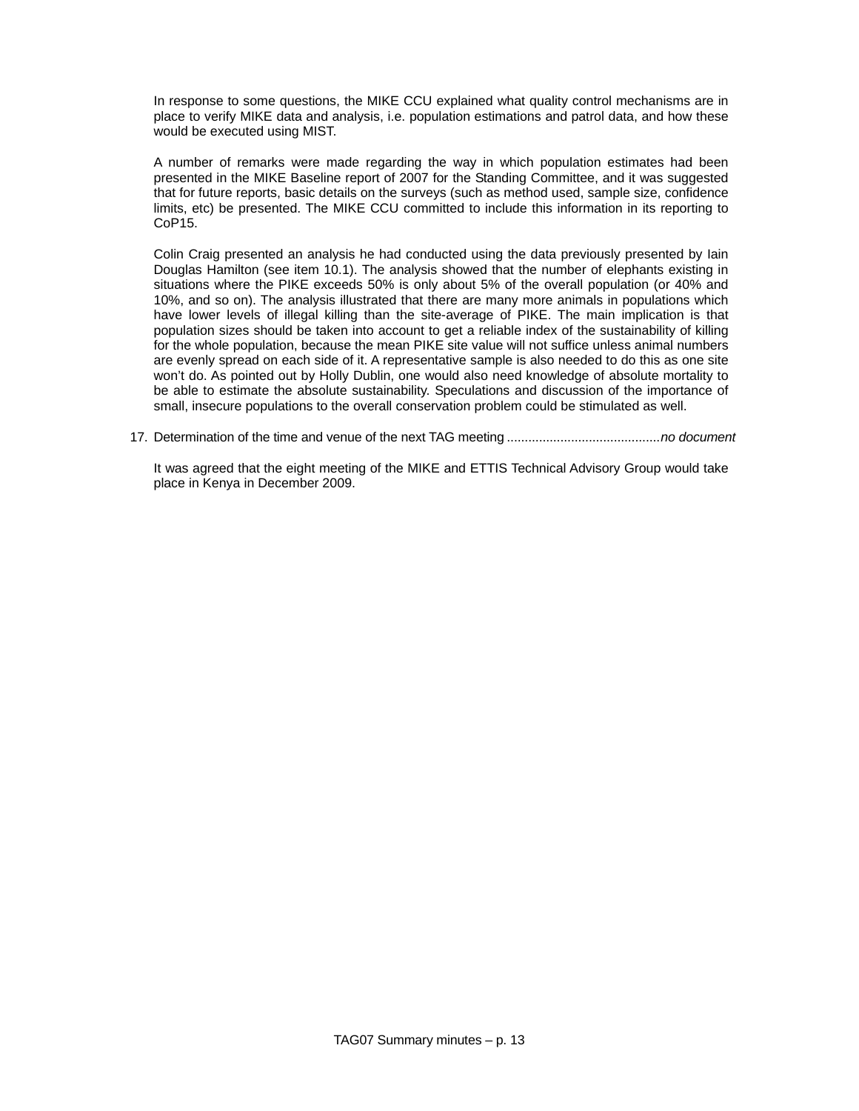In response to some questions, the MIKE CCU explained what quality control mechanisms are in place to verify MIKE data and analysis, i.e. population estimations and patrol data, and how these would be executed using MIST.

A number of remarks were made regarding the way in which population estimates had been presented in the MIKE Baseline report of 2007 for the Standing Committee, and it was suggested that for future reports, basic details on the surveys (such as method used, sample size, confidence limits, etc) be presented. The MIKE CCU committed to include this information in its reporting to CoP15.

Colin Craig presented an analysis he had conducted using the data previously presented by Iain Douglas Hamilton (see item 10.1). The analysis showed that the number of elephants existing in situations where the PIKE exceeds 50% is only about 5% of the overall population (or 40% and 10%, and so on). The analysis illustrated that there are many more animals in populations which have lower levels of illegal killing than the site-average of PIKE. The main implication is that population sizes should be taken into account to get a reliable index of the sustainability of killing for the whole population, because the mean PIKE site value will not suffice unless animal numbers are evenly spread on each side of it. A representative sample is also needed to do this as one site won't do. As pointed out by Holly Dublin, one would also need knowledge of absolute mortality to be able to estimate the absolute sustainability. Speculations and discussion of the importance of small, insecure populations to the overall conservation problem could be stimulated as well.

17. Determination of the time and venue of the next TAG meeting ...........................................*no document*

It was agreed that the eight meeting of the MIKE and ETTIS Technical Advisory Group would take place in Kenya in December 2009.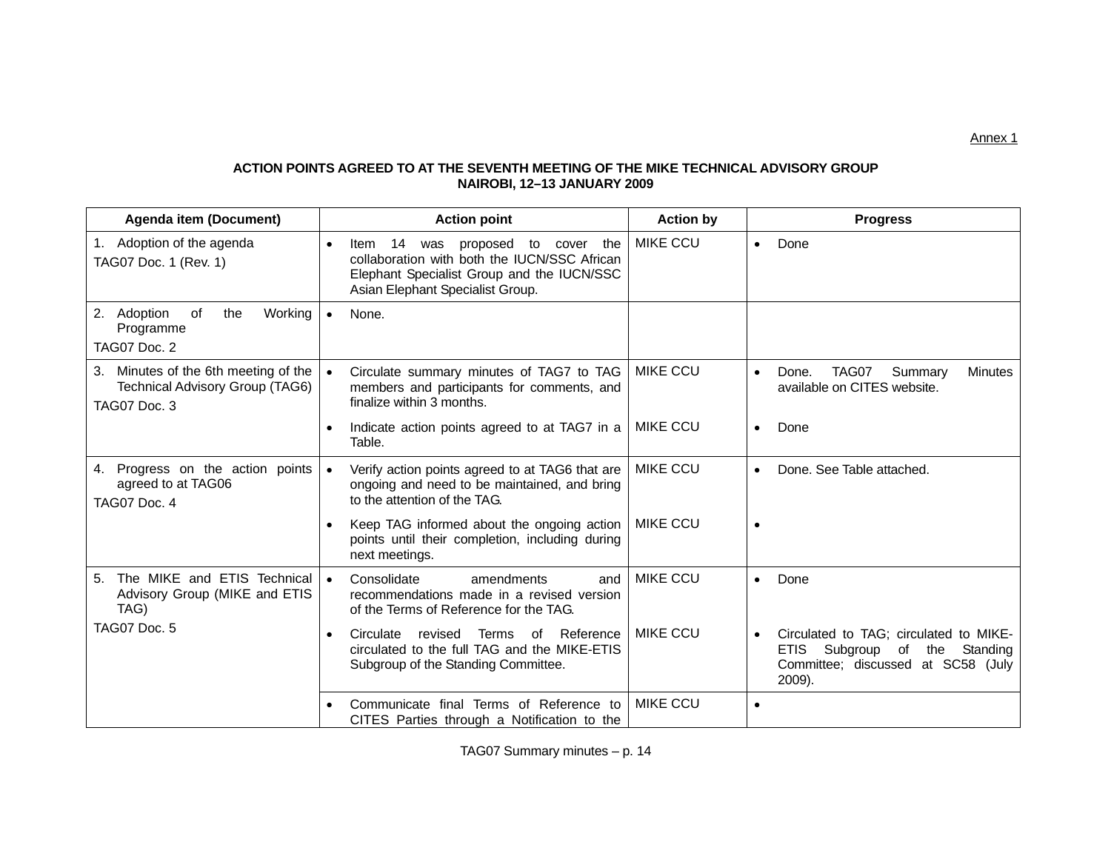**ACTION POINTS AGREED TO AT THE SEVENTH MEETING OF THE MIKE TECHNICAL ADVISORY GROUP NAIROBI, 12–13 JANUARY 2009** 

| <b>Agenda item (Document)</b>                                                           | <b>Action point</b>                                                                                                                                                                          | <b>Action by</b> | <b>Progress</b>                                                                                                                                   |
|-----------------------------------------------------------------------------------------|----------------------------------------------------------------------------------------------------------------------------------------------------------------------------------------------|------------------|---------------------------------------------------------------------------------------------------------------------------------------------------|
| 1. Adoption of the agenda<br>TAG07 Doc. 1 (Rev. 1)                                      | 14<br>proposed<br>to cover the<br>$\bullet$<br>Item<br>was<br>collaboration with both the IUCN/SSC African<br>Elephant Specialist Group and the IUCN/SSC<br>Asian Elephant Specialist Group. | <b>MIKE CCU</b>  | Done<br>$\bullet$                                                                                                                                 |
| 2. Adoption<br>of<br>the<br>Working<br>Programme<br>TAG07 Doc. 2                        | None.<br>$\bullet$                                                                                                                                                                           |                  |                                                                                                                                                   |
| 3. Minutes of the 6th meeting of the<br>Technical Advisory Group (TAG6)<br>TAG07 Doc. 3 | Circulate summary minutes of TAG7 to TAG<br>$\bullet$<br>members and participants for comments, and<br>finalize within 3 months.                                                             | <b>MIKE CCU</b>  | TAG07<br>Summary<br>Done.<br>Minutes<br>$\bullet$<br>available on CITES website.                                                                  |
|                                                                                         | Indicate action points agreed to at TAG7 in a<br>$\bullet$<br>Table.                                                                                                                         | <b>MIKE CCU</b>  | Done<br>$\bullet$                                                                                                                                 |
| 4. Progress on the action points<br>agreed to at TAG06<br>TAG07 Doc. 4                  | Verify action points agreed to at TAG6 that are<br>$\bullet$<br>ongoing and need to be maintained, and bring<br>to the attention of the TAG.                                                 | <b>MIKE CCU</b>  | Done. See Table attached.<br>$\bullet$                                                                                                            |
|                                                                                         | Keep TAG informed about the ongoing action<br>$\bullet$<br>points until their completion, including during<br>next meetings.                                                                 | <b>MIKE CCU</b>  | $\bullet$                                                                                                                                         |
| The MIKE and ETIS Technical<br>5 <sub>1</sub><br>Advisory Group (MIKE and ETIS<br>TAG)  | Consolidate<br>amendments<br>$\bullet$<br>and<br>recommendations made in a revised version<br>of the Terms of Reference for the TAG.                                                         | <b>MIKE CCU</b>  | Done<br>$\bullet$                                                                                                                                 |
| TAG07 Doc. 5                                                                            | Reference<br>Circulate<br>revised<br><b>Terms</b><br>οf<br>$\bullet$<br>circulated to the full TAG and the MIKE-ETIS<br>Subgroup of the Standing Committee.                                  | <b>MIKE CCU</b>  | Circulated to TAG; circulated to MIKE-<br>$\bullet$<br>Subgroup<br><b>ETIS</b><br>of the Standing<br>Committee; discussed at SC58 (July<br>2009). |
|                                                                                         | Communicate final Terms of Reference to<br>CITES Parties through a Notification to the                                                                                                       | <b>MIKE CCU</b>  | $\bullet$                                                                                                                                         |

TAG07 Summary minutes – p. 14

Annex 1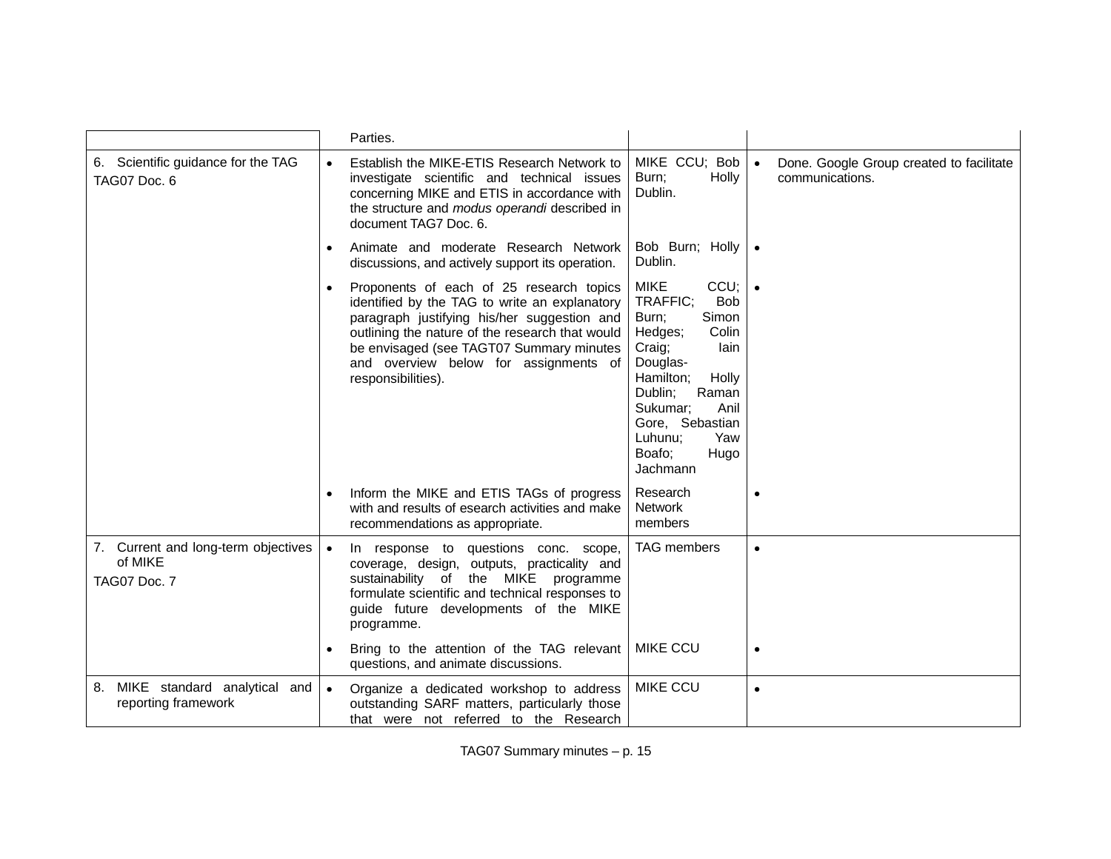|                                                                |           | Parties.                                                                                                                                                                                                                                                                                               |                                                                                                                                                                                                                                                    |           |                                                             |
|----------------------------------------------------------------|-----------|--------------------------------------------------------------------------------------------------------------------------------------------------------------------------------------------------------------------------------------------------------------------------------------------------------|----------------------------------------------------------------------------------------------------------------------------------------------------------------------------------------------------------------------------------------------------|-----------|-------------------------------------------------------------|
| 6. Scientific guidance for the TAG<br>TAG07 Doc. 6             | $\bullet$ | Establish the MIKE-ETIS Research Network to<br>investigate scientific and technical issues<br>concerning MIKE and ETIS in accordance with<br>the structure and modus operandi described in<br>document TAG7 Doc. 6.                                                                                    | MIKE CCU; Bob<br>Holly<br>Burn;<br>Dublin.                                                                                                                                                                                                         | $\bullet$ | Done. Google Group created to facilitate<br>communications. |
|                                                                | $\bullet$ | Animate and moderate Research Network<br>discussions, and actively support its operation.                                                                                                                                                                                                              | Bob Burn; Holly   .<br>Dublin.                                                                                                                                                                                                                     |           |                                                             |
|                                                                | $\bullet$ | Proponents of each of 25 research topics<br>identified by the TAG to write an explanatory<br>paragraph justifying his/her suggestion and<br>outlining the nature of the research that would<br>be envisaged (see TAGT07 Summary minutes<br>and overview below for assignments of<br>responsibilities). | <b>MIKE</b><br>CCU;<br>TRAFFIC;<br><b>Bob</b><br>Simon<br>Burn;<br>Hedges;<br>Colin<br>lain<br>Craig;<br>Douglas-<br>Hamilton;<br>Holly<br>Raman<br>Dublin;<br>Anil<br>Sukumar;<br>Gore, Sebastian<br>Luhunu;<br>Yaw<br>Boafo;<br>Hugo<br>Jachmann |           |                                                             |
|                                                                | $\bullet$ | Inform the MIKE and ETIS TAGs of progress<br>with and results of esearch activities and make<br>recommendations as appropriate.                                                                                                                                                                        | Research<br><b>Network</b><br>members                                                                                                                                                                                                              |           |                                                             |
| 7. Current and long-term objectives<br>of MIKE<br>TAG07 Doc. 7 | $\bullet$ | In response to questions conc. scope,<br>coverage, design, outputs, practicality and<br>sustainability of the MIKE<br>programme<br>formulate scientific and technical responses to<br>guide future developments of the MIKE<br>programme.<br>Bring to the attention of the TAG relevant                | <b>TAG</b> members<br><b>MIKE CCU</b>                                                                                                                                                                                                              | $\bullet$ |                                                             |
|                                                                |           | questions, and animate discussions.                                                                                                                                                                                                                                                                    |                                                                                                                                                                                                                                                    |           |                                                             |
| 8. MIKE standard analytical and<br>reporting framework         | $\bullet$ | Organize a dedicated workshop to address<br>outstanding SARF matters, particularly those<br>that were not referred to the Research                                                                                                                                                                     | <b>MIKE CCU</b>                                                                                                                                                                                                                                    | $\bullet$ |                                                             |

TAG07 Summary minutes – p. 15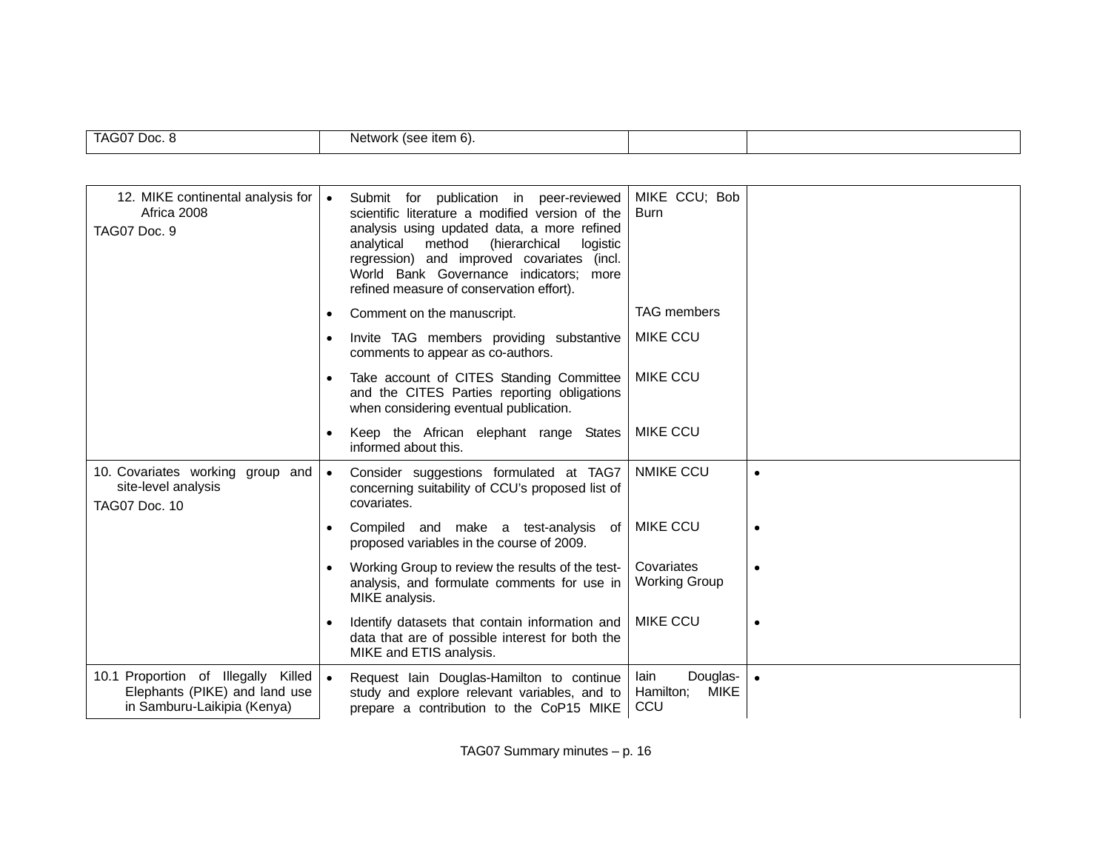| TAG07<br>Doc. 8 | $+0.02$<br>いへいし<br>$-1 - 1$<br>NF<br>ileni o).<br>V I JI |  |
|-----------------|----------------------------------------------------------|--|
|                 |                                                          |  |

| 12. MIKE continental analysis for<br>Africa 2008<br>TAG07 Doc. 9                                    | $\bullet$ | for publication in peer-reviewed<br>Submit<br>scientific literature a modified version of the<br>analysis using updated data, a more refined<br>(hierarchical<br>analytical method<br>logistic<br>regression) and improved covariates (incl.<br>World Bank Governance indicators; more<br>refined measure of conservation effort). | MIKE CCU; Bob<br>Burn                               |           |
|-----------------------------------------------------------------------------------------------------|-----------|------------------------------------------------------------------------------------------------------------------------------------------------------------------------------------------------------------------------------------------------------------------------------------------------------------------------------------|-----------------------------------------------------|-----------|
|                                                                                                     | $\bullet$ | Comment on the manuscript.                                                                                                                                                                                                                                                                                                         | <b>TAG</b> members                                  |           |
|                                                                                                     | $\bullet$ | Invite TAG members providing substantive<br>comments to appear as co-authors.                                                                                                                                                                                                                                                      | <b>MIKE CCU</b>                                     |           |
|                                                                                                     |           | Take account of CITES Standing Committee<br>and the CITES Parties reporting obligations<br>when considering eventual publication.                                                                                                                                                                                                  | <b>MIKE CCU</b>                                     |           |
|                                                                                                     | $\bullet$ | Keep the African elephant range States<br>informed about this.                                                                                                                                                                                                                                                                     | <b>MIKE CCU</b>                                     |           |
| 10. Covariates working group and<br>site-level analysis<br><b>TAG07 Doc. 10</b>                     | $\bullet$ | Consider suggestions formulated at TAG7<br>concerning suitability of CCU's proposed list of<br>covariates.                                                                                                                                                                                                                         | <b>NMIKE CCU</b>                                    | $\bullet$ |
|                                                                                                     | $\bullet$ | Compiled and make a test-analysis<br>of<br>proposed variables in the course of 2009.                                                                                                                                                                                                                                               | <b>MIKE CCU</b>                                     | $\bullet$ |
|                                                                                                     | $\bullet$ | Working Group to review the results of the test-<br>analysis, and formulate comments for use in<br>MIKE analysis.                                                                                                                                                                                                                  | Covariates<br><b>Working Group</b>                  | $\bullet$ |
|                                                                                                     |           | Identify datasets that contain information and<br>data that are of possible interest for both the<br>MIKE and ETIS analysis.                                                                                                                                                                                                       | <b>MIKE CCU</b>                                     | $\bullet$ |
| 10.1 Proportion of Illegally Killed<br>Elephants (PIKE) and land use<br>in Samburu-Laikipia (Kenya) | $\bullet$ | Request Iain Douglas-Hamilton to continue<br>study and explore relevant variables, and to<br>prepare a contribution to the CoP15 MIKE                                                                                                                                                                                              | lain<br>Douglas-<br><b>MIKE</b><br>Hamilton;<br>CCU | $\bullet$ |

TAG07 Summary minutes – p. 16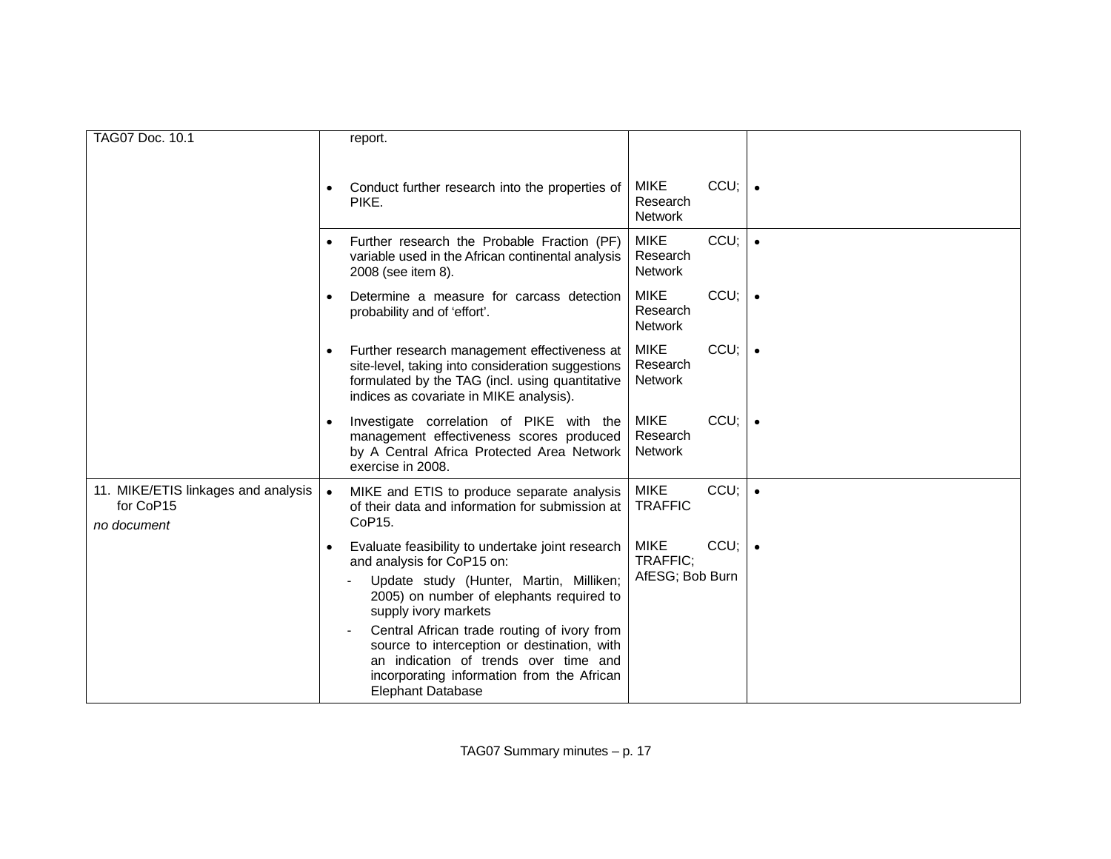| TAG07 Doc. 10.1                                                 |           | report.                                                                                                                                                                                                                                                                                                                                                                                                        |                                            |         |  |
|-----------------------------------------------------------------|-----------|----------------------------------------------------------------------------------------------------------------------------------------------------------------------------------------------------------------------------------------------------------------------------------------------------------------------------------------------------------------------------------------------------------------|--------------------------------------------|---------|--|
|                                                                 |           |                                                                                                                                                                                                                                                                                                                                                                                                                |                                            |         |  |
|                                                                 |           | Conduct further research into the properties of<br>PIKE.                                                                                                                                                                                                                                                                                                                                                       | <b>MIKE</b><br>Research<br><b>Network</b>  | $CCU$ ; |  |
|                                                                 |           | Further research the Probable Fraction (PF)<br>variable used in the African continental analysis<br>2008 (see item 8).                                                                                                                                                                                                                                                                                         | <b>MIKE</b><br>Research<br><b>Network</b>  | CCU;    |  |
|                                                                 | $\bullet$ | Determine a measure for carcass detection<br>probability and of 'effort'.                                                                                                                                                                                                                                                                                                                                      | <b>MIKE</b><br>Research<br><b>Network</b>  | CCU;    |  |
|                                                                 | $\bullet$ | Further research management effectiveness at<br>site-level, taking into consideration suggestions<br>formulated by the TAG (incl. using quantitative<br>indices as covariate in MIKE analysis).                                                                                                                                                                                                                | <b>MIKE</b><br>Research<br><b>Network</b>  | CCU;    |  |
|                                                                 |           | Investigate correlation of PIKE with the<br>management effectiveness scores produced<br>by A Central Africa Protected Area Network<br>exercise in 2008.                                                                                                                                                                                                                                                        | <b>MIKE</b><br>Research<br><b>Network</b>  | CCU;    |  |
| 11. MIKE/ETIS linkages and analysis<br>for CoP15<br>no document |           | MIKE and ETIS to produce separate analysis<br>of their data and information for submission at<br>CoP15.                                                                                                                                                                                                                                                                                                        | <b>MIKE</b><br><b>TRAFFIC</b>              | CCU;    |  |
|                                                                 |           | Evaluate feasibility to undertake joint research<br>and analysis for CoP15 on:<br>Update study (Hunter, Martin, Milliken;<br>2005) on number of elephants required to<br>supply ivory markets<br>Central African trade routing of ivory from<br>source to interception or destination, with<br>an indication of trends over time and<br>incorporating information from the African<br><b>Elephant Database</b> | <b>MIKE</b><br>TRAFFIC:<br>AfESG; Bob Burn | $CCU$ ; |  |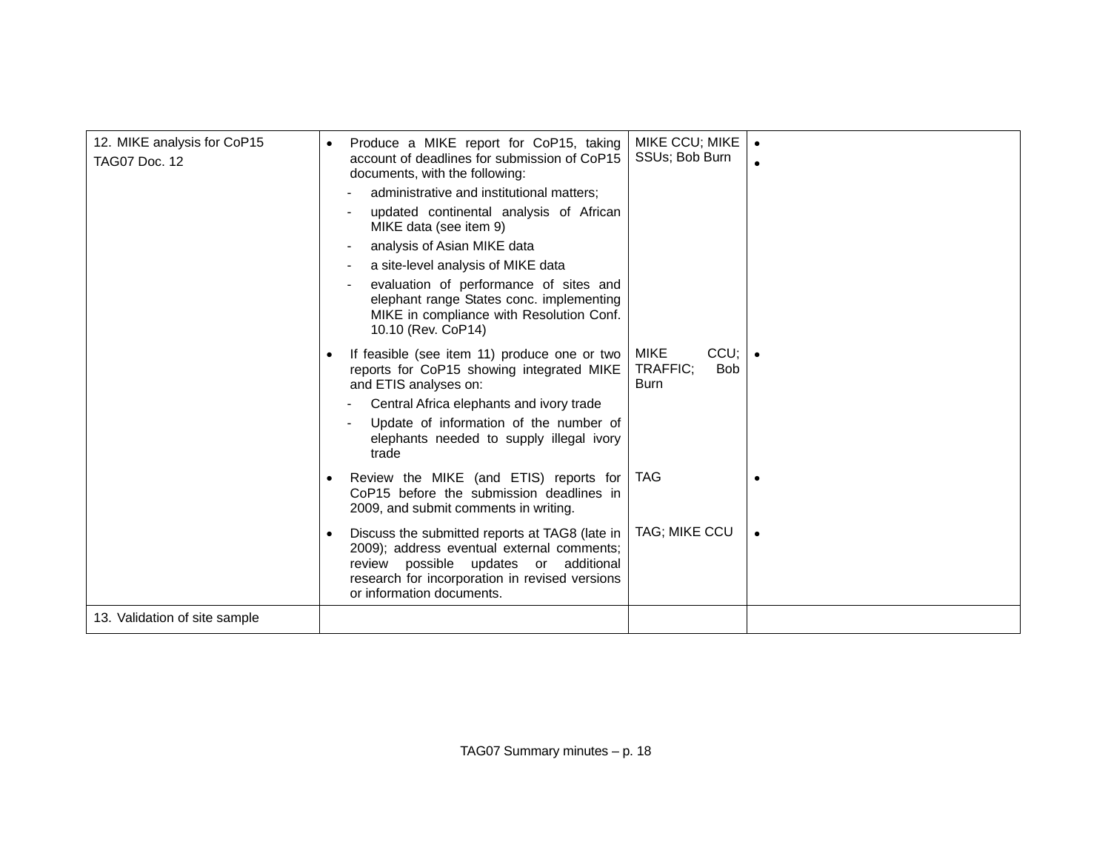| 12. MIKE analysis for CoP15   | $\bullet$ | Produce a MIKE report for CoP15, taking                                                                                                                                                                              | MIKE CCU; MIKE                                               |  |
|-------------------------------|-----------|----------------------------------------------------------------------------------------------------------------------------------------------------------------------------------------------------------------------|--------------------------------------------------------------|--|
| <b>TAG07 Doc. 12</b>          |           | account of deadlines for submission of CoP15                                                                                                                                                                         | SSUs; Bob Burn                                               |  |
|                               |           | documents, with the following:                                                                                                                                                                                       |                                                              |  |
|                               |           | administrative and institutional matters;                                                                                                                                                                            |                                                              |  |
|                               |           | updated continental analysis of African<br>MIKE data (see item 9)                                                                                                                                                    |                                                              |  |
|                               |           | analysis of Asian MIKE data                                                                                                                                                                                          |                                                              |  |
|                               |           | a site-level analysis of MIKE data                                                                                                                                                                                   |                                                              |  |
|                               |           | evaluation of performance of sites and<br>elephant range States conc. implementing<br>MIKE in compliance with Resolution Conf.<br>10.10 (Rev. CoP14)                                                                 |                                                              |  |
|                               |           | If feasible (see item 11) produce one or two<br>reports for CoP15 showing integrated MIKE<br>and ETIS analyses on:                                                                                                   | <b>MIKE</b><br>CCU;<br>TRAFFIC;<br><b>Bob</b><br><b>Burn</b> |  |
|                               |           | Central Africa elephants and ivory trade                                                                                                                                                                             |                                                              |  |
|                               |           | Update of information of the number of<br>elephants needed to supply illegal ivory<br>trade                                                                                                                          |                                                              |  |
|                               | $\bullet$ | Review the MIKE (and ETIS) reports for<br>CoP15 before the submission deadlines in<br>2009, and submit comments in writing.                                                                                          | <b>TAG</b>                                                   |  |
|                               | $\bullet$ | Discuss the submitted reports at TAG8 (late in<br>2009); address eventual external comments;<br>review possible updates or additional<br>research for incorporation in revised versions<br>or information documents. | TAG; MIKE CCU                                                |  |
| 13. Validation of site sample |           |                                                                                                                                                                                                                      |                                                              |  |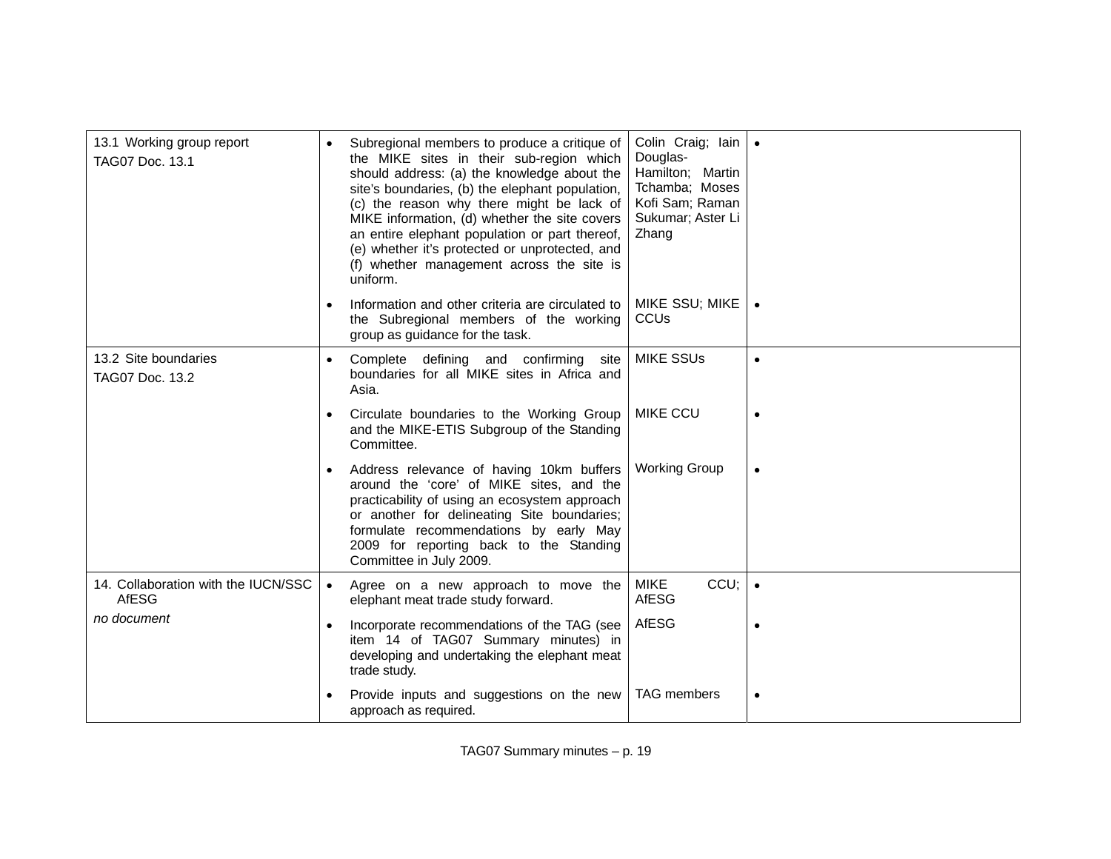| 13.1 Working group report<br>TAG07 Doc. 13.1 | $\bullet$ | Subregional members to produce a critique of<br>the MIKE sites in their sub-region which<br>should address: (a) the knowledge about the<br>site's boundaries, (b) the elephant population,<br>(c) the reason why there might be lack of<br>MIKE information, (d) whether the site covers<br>an entire elephant population or part thereof,<br>(e) whether it's protected or unprotected, and<br>(f) whether management across the site is<br>uniform. | Colin Craig; lain   .<br>Douglas-<br>Hamilton; Martin<br>Tchamba; Moses<br>Kofi Sam; Raman<br>Sukumar; Aster Li<br>Zhang |           |
|----------------------------------------------|-----------|-------------------------------------------------------------------------------------------------------------------------------------------------------------------------------------------------------------------------------------------------------------------------------------------------------------------------------------------------------------------------------------------------------------------------------------------------------|--------------------------------------------------------------------------------------------------------------------------|-----------|
|                                              | $\bullet$ | Information and other criteria are circulated to<br>the Subregional members of the working<br>group as guidance for the task.                                                                                                                                                                                                                                                                                                                         | MIKE SSU; MIKE<br>CCU <sub>s</sub>                                                                                       |           |
| 13.2 Site boundaries<br>TAG07 Doc. 13.2      |           | Complete defining and confirming site<br>boundaries for all MIKE sites in Africa and<br>Asia.                                                                                                                                                                                                                                                                                                                                                         | <b>MIKE SSUs</b>                                                                                                         | $\bullet$ |
|                                              | $\bullet$ | Circulate boundaries to the Working Group<br>and the MIKE-ETIS Subgroup of the Standing<br>Committee.                                                                                                                                                                                                                                                                                                                                                 | <b>MIKE CCU</b>                                                                                                          |           |
|                                              | $\bullet$ | Address relevance of having 10km buffers<br>around the 'core' of MIKE sites, and the<br>practicability of using an ecosystem approach<br>or another for delineating Site boundaries;<br>formulate recommendations by early May<br>2009 for reporting back to the Standing<br>Committee in July 2009.                                                                                                                                                  | <b>Working Group</b>                                                                                                     |           |
| 14. Collaboration with the IUCN/SSC<br>AfESG | $\bullet$ | Agree on a new approach to move the<br>elephant meat trade study forward.                                                                                                                                                                                                                                                                                                                                                                             | CCU;<br><b>MIKE</b><br>AfESG                                                                                             |           |
| no document                                  | $\bullet$ | Incorporate recommendations of the TAG (see<br>item 14 of TAG07 Summary minutes) in<br>developing and undertaking the elephant meat<br>trade study.                                                                                                                                                                                                                                                                                                   | <b>AfESG</b>                                                                                                             |           |
|                                              |           | Provide inputs and suggestions on the new<br>approach as required.                                                                                                                                                                                                                                                                                                                                                                                    | <b>TAG</b> members                                                                                                       | $\bullet$ |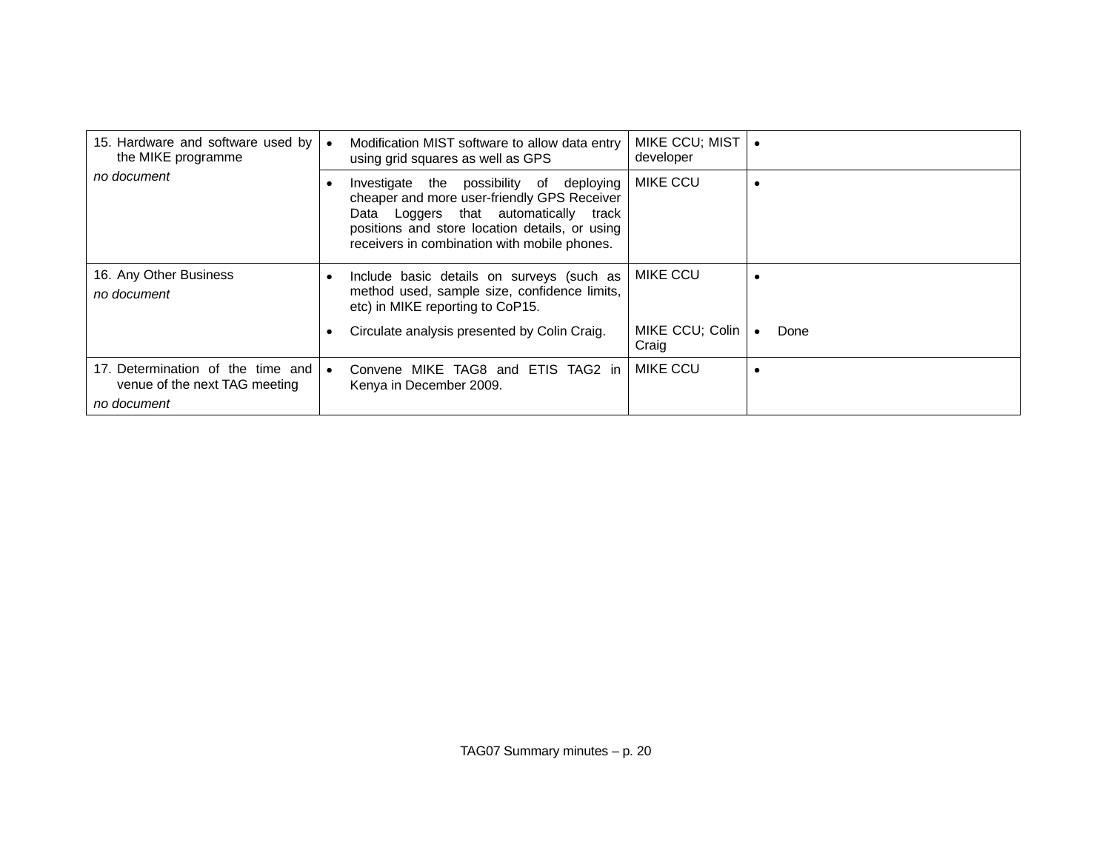| 15. Hardware and software used by<br>the MIKE programme                           | $\bullet$ | Modification MIST software to allow data entry<br>using grid squares as well as GPS                                                                                                                                                | MIKE CCU; MIST  <br>developer |      |
|-----------------------------------------------------------------------------------|-----------|------------------------------------------------------------------------------------------------------------------------------------------------------------------------------------------------------------------------------------|-------------------------------|------|
| no document                                                                       | $\bullet$ | Investigate the possibility of deploying<br>cheaper and more user-friendly GPS Receiver<br>Data Loggers that automatically track<br>positions and store location details, or using<br>receivers in combination with mobile phones. | <b>MIKE CCU</b>               |      |
| 16. Any Other Business<br>no document                                             | $\bullet$ | Include basic details on surveys (such as<br>method used, sample size, confidence limits,<br>etc) in MIKE reporting to CoP15.                                                                                                      | <b>MIKE CCU</b>               |      |
|                                                                                   | $\bullet$ | Circulate analysis presented by Colin Craig.                                                                                                                                                                                       | MIKE CCU; Colin<br>Craig      | Done |
| 17. Determination of the time and<br>venue of the next TAG meeting<br>no document | $\bullet$ | Convene MIKE TAG8 and ETIS TAG2 in<br>Kenya in December 2009.                                                                                                                                                                      | MIKE CCU                      |      |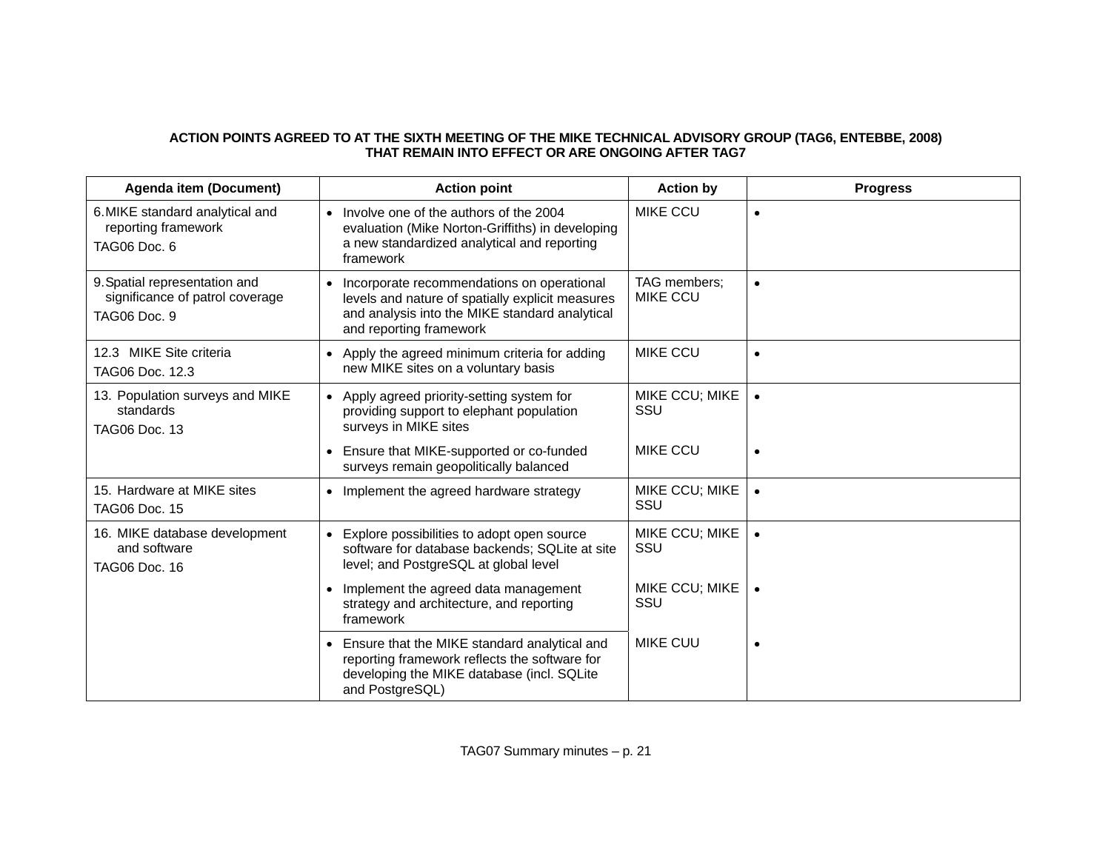# **ACTION POINTS AGREED TO AT THE SIXTH MEETING OF THE MIKE TECHNICAL ADVISORY GROUP (TAG6, ENTEBBE, 2008) THAT REMAIN INTO EFFECT OR ARE ONGOING AFTER TAG7**

| <b>Agenda item (Document)</b>                                                    | <b>Action point</b>                                                                                                                                                         | <b>Action by</b>                | <b>Progress</b> |
|----------------------------------------------------------------------------------|-----------------------------------------------------------------------------------------------------------------------------------------------------------------------------|---------------------------------|-----------------|
| 6. MIKE standard analytical and<br>reporting framework<br>TAG06 Doc. 6           | Involve one of the authors of the 2004<br>$\bullet$<br>evaluation (Mike Norton-Griffiths) in developing<br>a new standardized analytical and reporting<br>framework         | <b>MIKE CCU</b>                 | $\bullet$       |
| 9. Spatial representation and<br>significance of patrol coverage<br>TAG06 Doc. 9 | Incorporate recommendations on operational<br>levels and nature of spatially explicit measures<br>and analysis into the MIKE standard analytical<br>and reporting framework | TAG members;<br><b>MIKE CCU</b> | $\bullet$       |
| 12.3 MIKE Site criteria<br>TAG06 Doc. 12.3                                       | • Apply the agreed minimum criteria for adding<br>new MIKE sites on a voluntary basis                                                                                       | <b>MIKE CCU</b>                 | $\bullet$       |
| 13. Population surveys and MIKE<br>standards<br><b>TAG06 Doc. 13</b>             | • Apply agreed priority-setting system for<br>providing support to elephant population<br>surveys in MIKE sites                                                             | MIKE CCU; MIKE<br>SSU           | $\bullet$       |
|                                                                                  | Ensure that MIKE-supported or co-funded<br>surveys remain geopolitically balanced                                                                                           | <b>MIKE CCU</b>                 | $\bullet$       |
| 15. Hardware at MIKE sites<br><b>TAG06 Doc. 15</b>                               | • Implement the agreed hardware strategy                                                                                                                                    | MIKE CCU; MIKE<br>SSU           | $\bullet$       |
| 16. MIKE database development<br>and software<br><b>TAG06 Doc. 16</b>            | Explore possibilities to adopt open source<br>software for database backends; SQLite at site<br>level; and PostgreSQL at global level                                       | MIKE CCU; MIKE<br>SSU           |                 |
|                                                                                  | Implement the agreed data management<br>strategy and architecture, and reporting<br>framework                                                                               | MIKE CCU; MIKE<br>SSU           |                 |
|                                                                                  | Ensure that the MIKE standard analytical and<br>reporting framework reflects the software for<br>developing the MIKE database (incl. SQLite<br>and PostgreSQL)              | <b>MIKE CUU</b>                 | $\bullet$       |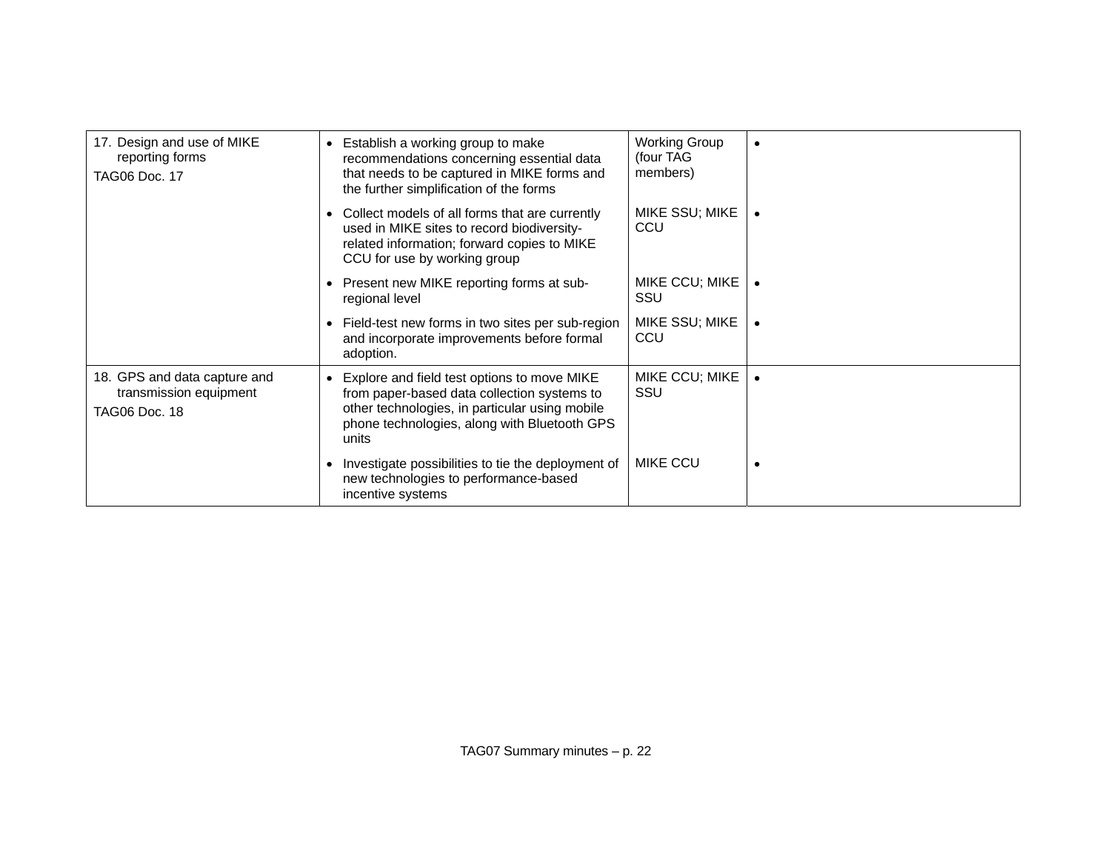| 17. Design and use of MIKE<br>reporting forms<br><b>TAG06 Doc. 17</b>          | Establish a working group to make<br>$\bullet$<br>recommendations concerning essential data<br>that needs to be captured in MIKE forms and<br>the further simplification of the forms                 | <b>Working Group</b><br>(four TAG<br>members) |  |
|--------------------------------------------------------------------------------|-------------------------------------------------------------------------------------------------------------------------------------------------------------------------------------------------------|-----------------------------------------------|--|
|                                                                                | Collect models of all forms that are currently<br>$\bullet$<br>used in MIKE sites to record biodiversity-<br>related information; forward copies to MIKE<br>CCU for use by working group              | MIKE SSU; MIKE<br>CCU                         |  |
|                                                                                | Present new MIKE reporting forms at sub-<br>$\bullet$<br>regional level                                                                                                                               | MIKE CCU; MIKE<br>SSU                         |  |
|                                                                                | Field-test new forms in two sites per sub-region<br>$\bullet$<br>and incorporate improvements before formal<br>adoption.                                                                              | MIKE SSU; MIKE<br>CCU                         |  |
| 18. GPS and data capture and<br>transmission equipment<br><b>TAG06 Doc. 18</b> | Explore and field test options to move MIKE<br>from paper-based data collection systems to<br>other technologies, in particular using mobile<br>phone technologies, along with Bluetooth GPS<br>units | MIKE CCU; MIKE<br>SSU                         |  |
|                                                                                | Investigate possibilities to tie the deployment of<br>$\bullet$<br>new technologies to performance-based<br>incentive systems                                                                         | <b>MIKE CCU</b>                               |  |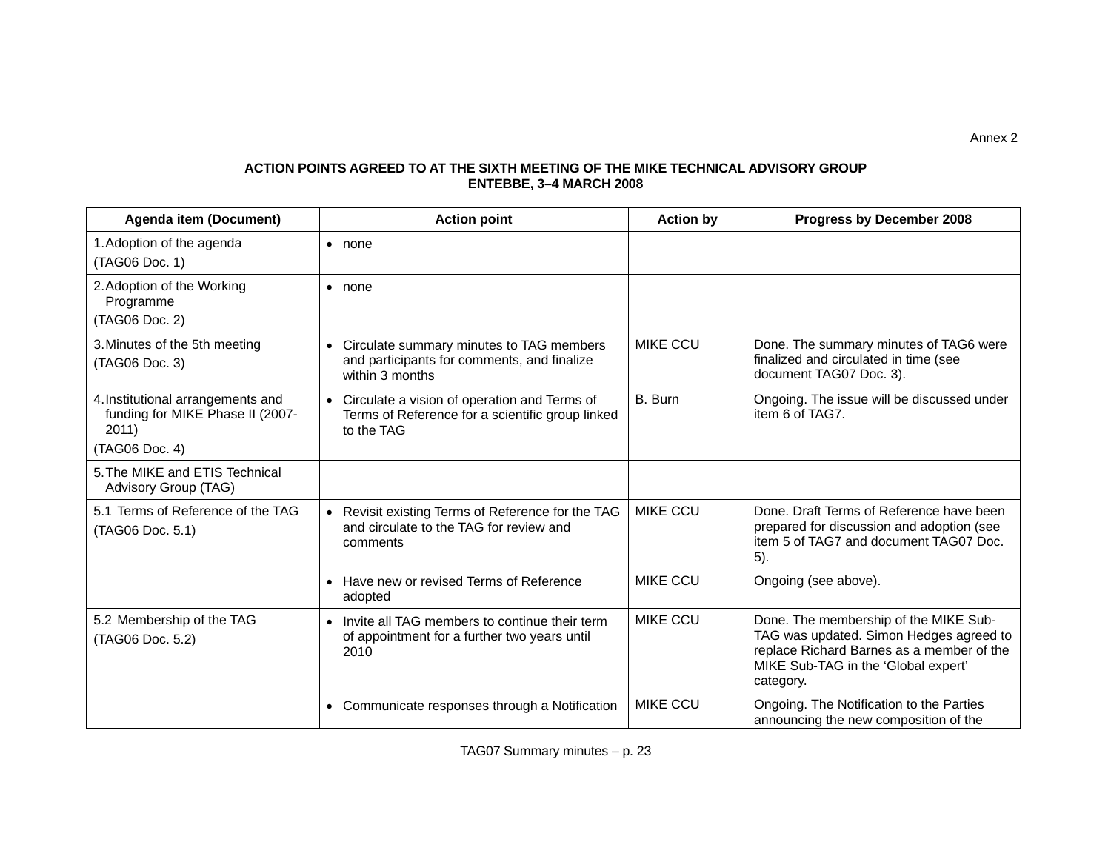# **ACTION POINTS AGREED TO AT THE SIXTH MEETING OF THE MIKE TECHNICAL ADVISORY GROUP ENTEBBE, 3–4 MARCH 2008**

| <b>Agenda item (Document)</b>                                                                    | <b>Action point</b>                                                                                                         | <b>Action by</b> | Progress by December 2008                                                                                                                                                         |
|--------------------------------------------------------------------------------------------------|-----------------------------------------------------------------------------------------------------------------------------|------------------|-----------------------------------------------------------------------------------------------------------------------------------------------------------------------------------|
| 1. Adoption of the agenda<br>(TAG06 Doc. 1)                                                      | $\bullet$ none                                                                                                              |                  |                                                                                                                                                                                   |
| 2. Adoption of the Working<br>Programme<br>(TAG06 Doc. 2)                                        | $\bullet$ none                                                                                                              |                  |                                                                                                                                                                                   |
| 3. Minutes of the 5th meeting<br>(TAG06 Doc. 3)                                                  | Circulate summary minutes to TAG members<br>$\bullet$<br>and participants for comments, and finalize<br>within 3 months     | <b>MIKE CCU</b>  | Done. The summary minutes of TAG6 were<br>finalized and circulated in time (see<br>document TAG07 Doc. 3).                                                                        |
| 4. Institutional arrangements and<br>funding for MIKE Phase II (2007-<br>2011)<br>(TAG06 Doc. 4) | Circulate a vision of operation and Terms of<br>$\bullet$<br>Terms of Reference for a scientific group linked<br>to the TAG | B. Burn          | Ongoing. The issue will be discussed under<br>item 6 of TAG7.                                                                                                                     |
| 5. The MIKE and ETIS Technical<br>Advisory Group (TAG)                                           |                                                                                                                             |                  |                                                                                                                                                                                   |
| 5.1 Terms of Reference of the TAG<br>(TAG06 Doc. 5.1)                                            | Revisit existing Terms of Reference for the TAG<br>$\bullet$<br>and circulate to the TAG for review and<br>comments         | <b>MIKE CCU</b>  | Done. Draft Terms of Reference have been<br>prepared for discussion and adoption (see<br>item 5 of TAG7 and document TAG07 Doc.<br>$5$ ).                                         |
|                                                                                                  | Have new or revised Terms of Reference<br>$\bullet$<br>adopted                                                              | <b>MIKE CCU</b>  | Ongoing (see above).                                                                                                                                                              |
| 5.2 Membership of the TAG<br>(TAG06 Doc. 5.2)                                                    | Invite all TAG members to continue their term<br>$\bullet$<br>of appointment for a further two years until<br>2010          | <b>MIKE CCU</b>  | Done. The membership of the MIKE Sub-<br>TAG was updated. Simon Hedges agreed to<br>replace Richard Barnes as a member of the<br>MIKE Sub-TAG in the 'Global expert'<br>category. |
|                                                                                                  | Communicate responses through a Notification<br>$\bullet$                                                                   | <b>MIKE CCU</b>  | Ongoing. The Notification to the Parties<br>announcing the new composition of the                                                                                                 |

TAG07 Summary minutes – p. 23

Annex 2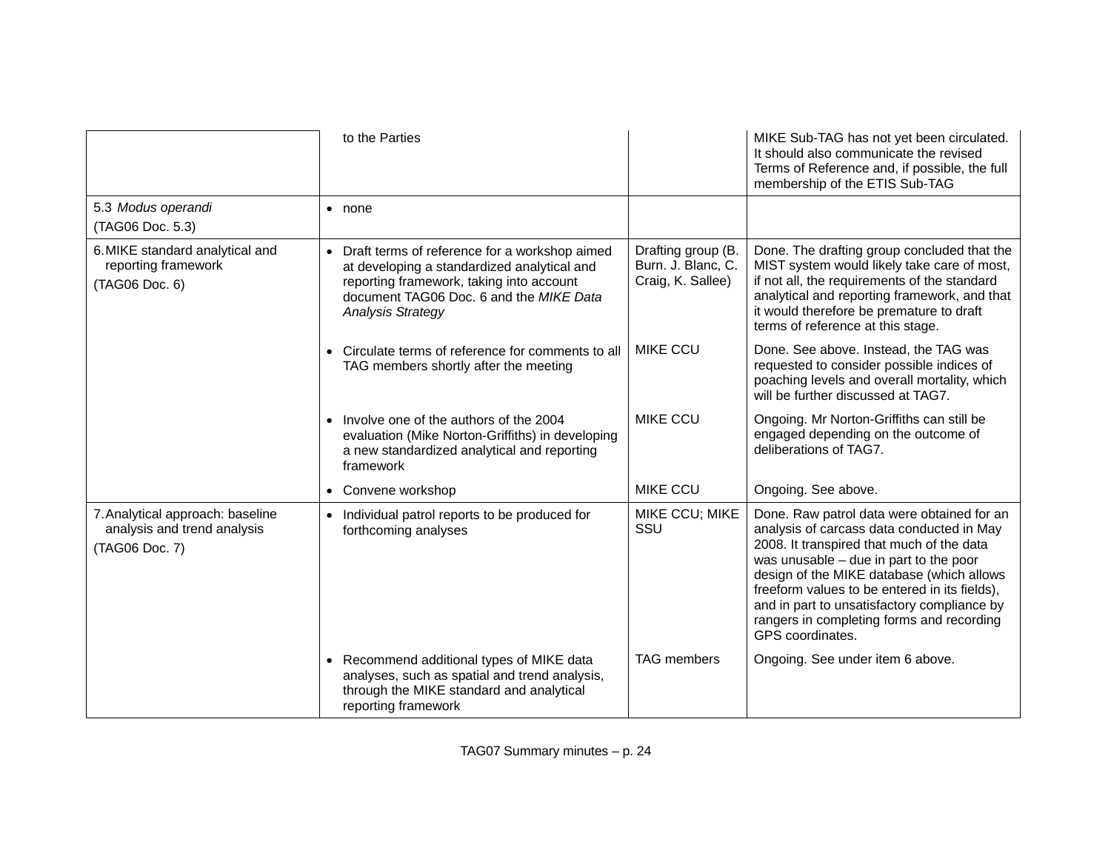|                                                                                   | to the Parties                                                                                                                                                                                                               |                                                               | MIKE Sub-TAG has not yet been circulated.<br>It should also communicate the revised<br>Terms of Reference and, if possible, the full<br>membership of the ETIS Sub-TAG                                                                                                                                                                                                                       |
|-----------------------------------------------------------------------------------|------------------------------------------------------------------------------------------------------------------------------------------------------------------------------------------------------------------------------|---------------------------------------------------------------|----------------------------------------------------------------------------------------------------------------------------------------------------------------------------------------------------------------------------------------------------------------------------------------------------------------------------------------------------------------------------------------------|
| 5.3 Modus operandi<br>(TAG06 Doc. 5.3)                                            | $\bullet$ none                                                                                                                                                                                                               |                                                               |                                                                                                                                                                                                                                                                                                                                                                                              |
| 6. MIKE standard analytical and<br>reporting framework<br>(TAG06 Doc. 6)          | Draft terms of reference for a workshop aimed<br>$\bullet$<br>at developing a standardized analytical and<br>reporting framework, taking into account<br>document TAG06 Doc. 6 and the MIKE Data<br><b>Analysis Strategy</b> | Drafting group (B.<br>Burn. J. Blanc, C.<br>Craig, K. Sallee) | Done. The drafting group concluded that the<br>MIST system would likely take care of most,<br>if not all, the requirements of the standard<br>analytical and reporting framework, and that<br>it would therefore be premature to draft<br>terms of reference at this stage.                                                                                                                  |
|                                                                                   | • Circulate terms of reference for comments to all<br>TAG members shortly after the meeting                                                                                                                                  | <b>MIKE CCU</b>                                               | Done. See above. Instead, the TAG was<br>requested to consider possible indices of<br>poaching levels and overall mortality, which<br>will be further discussed at TAG7.                                                                                                                                                                                                                     |
|                                                                                   | Involve one of the authors of the 2004<br>$\bullet$<br>evaluation (Mike Norton-Griffiths) in developing<br>a new standardized analytical and reporting<br>framework                                                          | <b>MIKE CCU</b>                                               | Ongoing. Mr Norton-Griffiths can still be<br>engaged depending on the outcome of<br>deliberations of TAG7.                                                                                                                                                                                                                                                                                   |
|                                                                                   | • Convene workshop                                                                                                                                                                                                           | <b>MIKE CCU</b>                                               | Ongoing. See above.                                                                                                                                                                                                                                                                                                                                                                          |
| 7. Analytical approach: baseline<br>analysis and trend analysis<br>(TAG06 Doc. 7) | Individual patrol reports to be produced for<br>$\bullet$<br>forthcoming analyses                                                                                                                                            | MIKE CCU; MIKE<br>SSU                                         | Done. Raw patrol data were obtained for an<br>analysis of carcass data conducted in May<br>2008. It transpired that much of the data<br>was unusable - due in part to the poor<br>design of the MIKE database (which allows<br>freeform values to be entered in its fields),<br>and in part to unsatisfactory compliance by<br>rangers in completing forms and recording<br>GPS coordinates. |
|                                                                                   | Recommend additional types of MIKE data<br>analyses, such as spatial and trend analysis,<br>through the MIKE standard and analytical<br>reporting framework                                                                  | <b>TAG</b> members                                            | Ongoing. See under item 6 above.                                                                                                                                                                                                                                                                                                                                                             |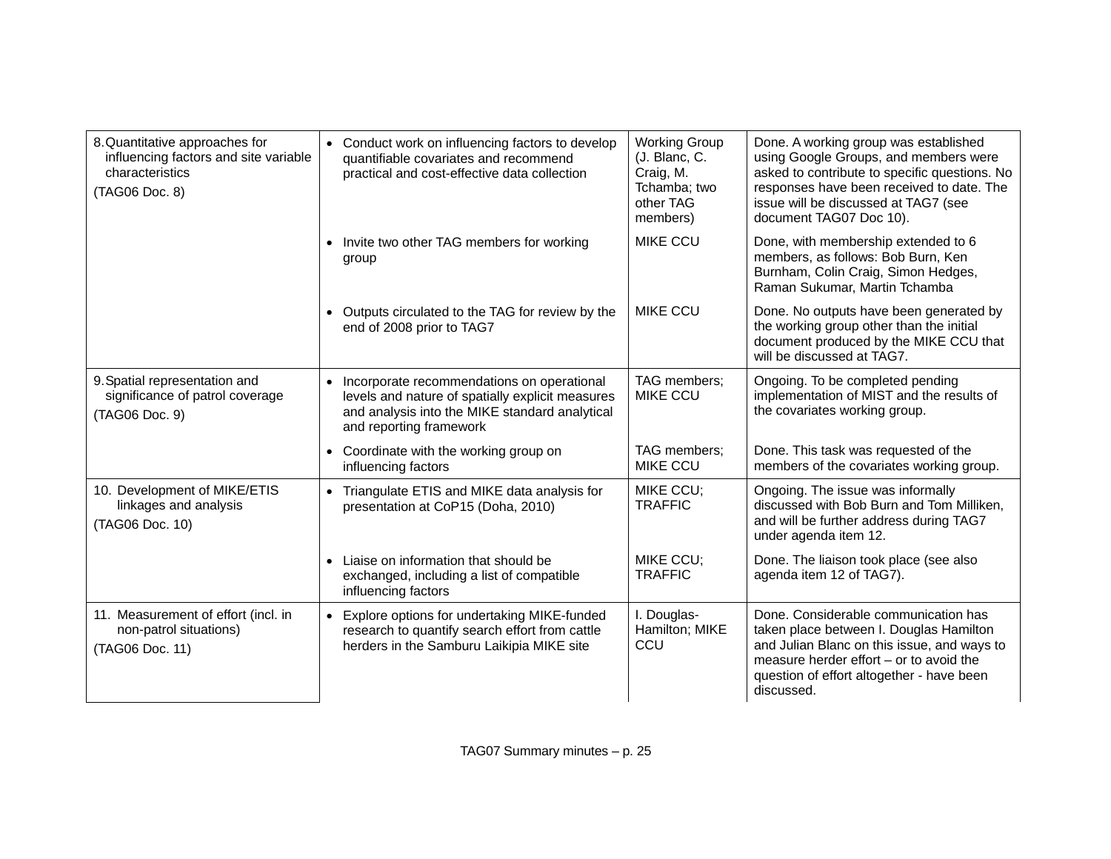| 8. Quantitative approaches for<br>influencing factors and site variable<br>characteristics<br>(TAG06 Doc. 8) | • Conduct work on influencing factors to develop<br>quantifiable covariates and recommend<br>practical and cost-effective data collection                                     | <b>Working Group</b><br>(J. Blanc, C.<br>Craig, M.<br>Tchamba; two<br>other TAG<br>members) | Done. A working group was established<br>using Google Groups, and members were<br>asked to contribute to specific questions. No<br>responses have been received to date. The<br>issue will be discussed at TAG7 (see<br>document TAG07 Doc 10). |
|--------------------------------------------------------------------------------------------------------------|-------------------------------------------------------------------------------------------------------------------------------------------------------------------------------|---------------------------------------------------------------------------------------------|-------------------------------------------------------------------------------------------------------------------------------------------------------------------------------------------------------------------------------------------------|
|                                                                                                              | • Invite two other TAG members for working<br>group                                                                                                                           | <b>MIKE CCU</b>                                                                             | Done, with membership extended to 6<br>members, as follows: Bob Burn, Ken<br>Burnham, Colin Craig, Simon Hedges,<br>Raman Sukumar, Martin Tchamba                                                                                               |
|                                                                                                              | • Outputs circulated to the TAG for review by the<br>end of 2008 prior to TAG7                                                                                                | <b>MIKE CCU</b>                                                                             | Done. No outputs have been generated by<br>the working group other than the initial<br>document produced by the MIKE CCU that<br>will be discussed at TAG7.                                                                                     |
| 9. Spatial representation and<br>significance of patrol coverage<br>(TAG06 Doc. 9)                           | • Incorporate recommendations on operational<br>levels and nature of spatially explicit measures<br>and analysis into the MIKE standard analytical<br>and reporting framework | TAG members;<br><b>MIKE CCU</b>                                                             | Ongoing. To be completed pending<br>implementation of MIST and the results of<br>the covariates working group.                                                                                                                                  |
|                                                                                                              | • Coordinate with the working group on<br>influencing factors                                                                                                                 | TAG members;<br><b>MIKE CCU</b>                                                             | Done. This task was requested of the<br>members of the covariates working group.                                                                                                                                                                |
| 10. Development of MIKE/ETIS<br>linkages and analysis<br>(TAG06 Doc. 10)                                     | • Triangulate ETIS and MIKE data analysis for<br>presentation at CoP15 (Doha, 2010)                                                                                           | MIKE CCU:<br><b>TRAFFIC</b>                                                                 | Ongoing. The issue was informally<br>discussed with Bob Burn and Tom Milliken,<br>and will be further address during TAG7<br>under agenda item 12.                                                                                              |
|                                                                                                              | Liaise on information that should be<br>exchanged, including a list of compatible<br>influencing factors                                                                      | MIKE CCU;<br><b>TRAFFIC</b>                                                                 | Done. The liaison took place (see also<br>agenda item 12 of TAG7).                                                                                                                                                                              |
| 11. Measurement of effort (incl. in<br>non-patrol situations)<br>(TAG06 Doc. 11)                             | • Explore options for undertaking MIKE-funded<br>research to quantify search effort from cattle<br>herders in the Samburu Laikipia MIKE site                                  | I. Douglas-<br>Hamilton; MIKE<br>CCU                                                        | Done. Considerable communication has<br>taken place between I. Douglas Hamilton<br>and Julian Blanc on this issue, and ways to<br>measure herder effort - or to avoid the<br>question of effort altogether - have been<br>discussed.            |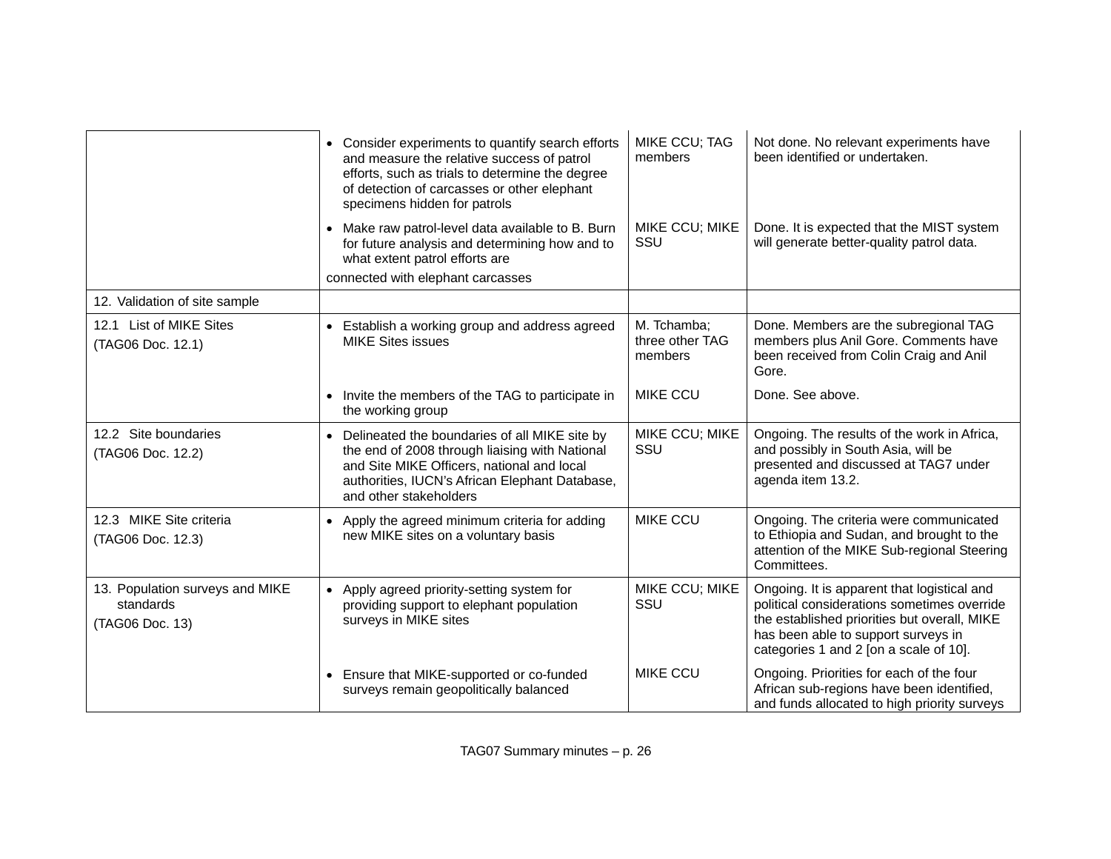|                                                                 | • Consider experiments to quantify search efforts<br>and measure the relative success of patrol<br>efforts, such as trials to determine the degree<br>of detection of carcasses or other elephant<br>specimens hidden for patrols      | MIKE CCU; TAG<br>members                  | Not done. No relevant experiments have<br>been identified or undertaken.                                                                                                                                                    |
|-----------------------------------------------------------------|----------------------------------------------------------------------------------------------------------------------------------------------------------------------------------------------------------------------------------------|-------------------------------------------|-----------------------------------------------------------------------------------------------------------------------------------------------------------------------------------------------------------------------------|
|                                                                 | Make raw patrol-level data available to B. Burn<br>for future analysis and determining how and to<br>what extent patrol efforts are<br>connected with elephant carcasses                                                               | MIKE CCU; MIKE<br>SSU                     | Done. It is expected that the MIST system<br>will generate better-quality patrol data.                                                                                                                                      |
| 12. Validation of site sample                                   |                                                                                                                                                                                                                                        |                                           |                                                                                                                                                                                                                             |
| 12.1 List of MIKE Sites<br>(TAG06 Doc. 12.1)                    | • Establish a working group and address agreed<br><b>MIKE Sites issues</b>                                                                                                                                                             | M. Tchamba;<br>three other TAG<br>members | Done. Members are the subregional TAG<br>members plus Anil Gore. Comments have<br>been received from Colin Craig and Anil<br>Gore.                                                                                          |
|                                                                 | Invite the members of the TAG to participate in<br>$\bullet$<br>the working group                                                                                                                                                      | <b>MIKE CCU</b>                           | Done. See above.                                                                                                                                                                                                            |
| 12.2 Site boundaries<br>(TAG06 Doc. 12.2)                       | Delineated the boundaries of all MIKE site by<br>$\bullet$<br>the end of 2008 through liaising with National<br>and Site MIKE Officers, national and local<br>authorities, IUCN's African Elephant Database,<br>and other stakeholders | MIKE CCU; MIKE<br>SSU                     | Ongoing. The results of the work in Africa,<br>and possibly in South Asia, will be<br>presented and discussed at TAG7 under<br>agenda item 13.2.                                                                            |
| 12.3 MIKE Site criteria<br>(TAG06 Doc. 12.3)                    | • Apply the agreed minimum criteria for adding<br>new MIKE sites on a voluntary basis                                                                                                                                                  | <b>MIKE CCU</b>                           | Ongoing. The criteria were communicated<br>to Ethiopia and Sudan, and brought to the<br>attention of the MIKE Sub-regional Steering<br>Committees.                                                                          |
| 13. Population surveys and MIKE<br>standards<br>(TAG06 Doc. 13) | Apply agreed priority-setting system for<br>$\bullet$<br>providing support to elephant population<br>surveys in MIKE sites                                                                                                             | MIKE CCU; MIKE<br>SSU                     | Ongoing. It is apparent that logistical and<br>political considerations sometimes override<br>the established priorities but overall, MIKE<br>has been able to support surveys in<br>categories 1 and 2 [on a scale of 10]. |
|                                                                 | Ensure that MIKE-supported or co-funded<br>$\bullet$<br>surveys remain geopolitically balanced                                                                                                                                         | <b>MIKE CCU</b>                           | Ongoing. Priorities for each of the four<br>African sub-regions have been identified,<br>and funds allocated to high priority surveys                                                                                       |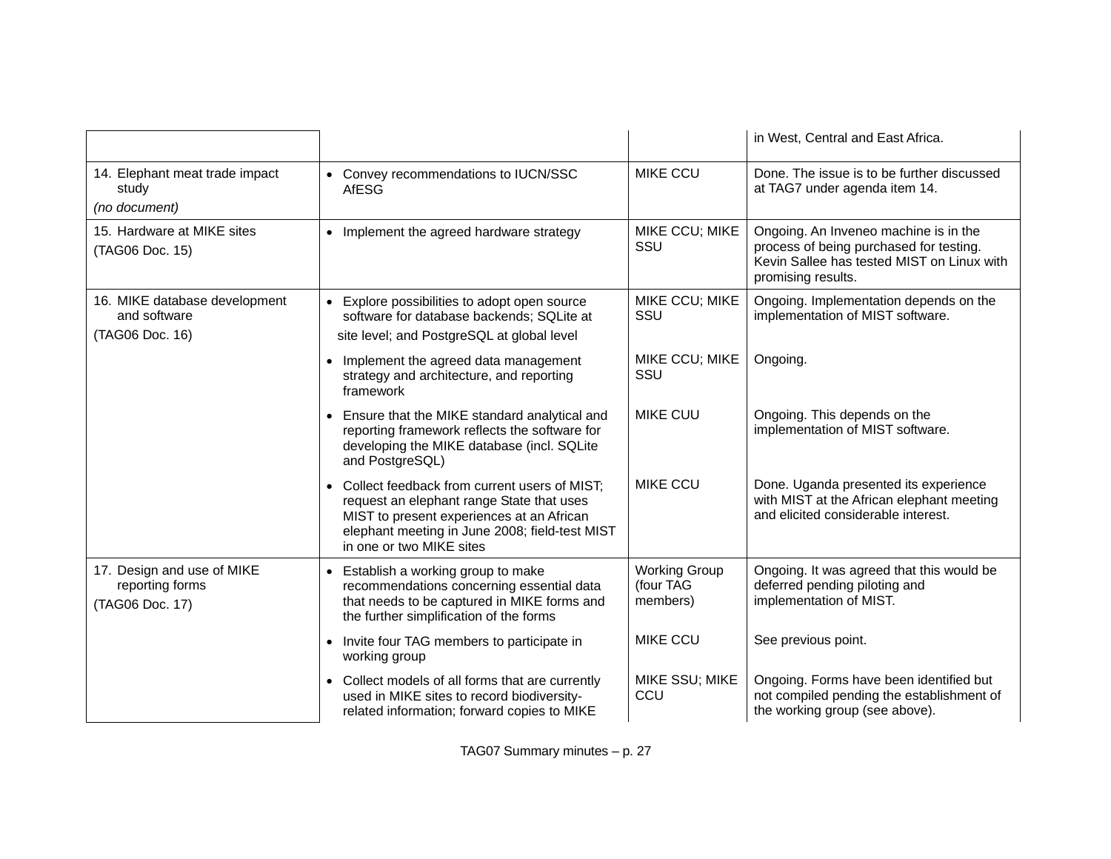|                                                                  |                                                                                                                                                                                                                      |                                               | in West, Central and East Africa.                                                                                                                    |
|------------------------------------------------------------------|----------------------------------------------------------------------------------------------------------------------------------------------------------------------------------------------------------------------|-----------------------------------------------|------------------------------------------------------------------------------------------------------------------------------------------------------|
| 14. Elephant meat trade impact<br>study<br>(no document)         | • Convey recommendations to IUCN/SSC<br><b>AfESG</b>                                                                                                                                                                 | <b>MIKE CCU</b>                               | Done. The issue is to be further discussed<br>at TAG7 under agenda item 14.                                                                          |
| 15. Hardware at MIKE sites<br>(TAG06 Doc. 15)                    | • Implement the agreed hardware strategy                                                                                                                                                                             | MIKE CCU; MIKE<br>SSU                         | Ongoing. An Inveneo machine is in the<br>process of being purchased for testing.<br>Kevin Sallee has tested MIST on Linux with<br>promising results. |
| 16. MIKE database development<br>and software<br>(TAG06 Doc. 16) | Explore possibilities to adopt open source<br>$\bullet$<br>software for database backends; SQLite at<br>site level; and PostgreSQL at global level                                                                   | MIKE CCU; MIKE<br>SSU                         | Ongoing. Implementation depends on the<br>implementation of MIST software.                                                                           |
|                                                                  | Implement the agreed data management<br>$\bullet$<br>strategy and architecture, and reporting<br>framework                                                                                                           | MIKE CCU; MIKE<br>SSU                         | Ongoing.                                                                                                                                             |
|                                                                  | • Ensure that the MIKE standard analytical and<br>reporting framework reflects the software for<br>developing the MIKE database (incl. SQLite<br>and PostgreSQL)                                                     | <b>MIKE CUU</b>                               | Ongoing. This depends on the<br>implementation of MIST software.                                                                                     |
|                                                                  | Collect feedback from current users of MIST;<br>request an elephant range State that uses<br>MIST to present experiences at an African<br>elephant meeting in June 2008; field-test MIST<br>in one or two MIKE sites | <b>MIKE CCU</b>                               | Done. Uganda presented its experience<br>with MIST at the African elephant meeting<br>and elicited considerable interest.                            |
| 17. Design and use of MIKE<br>reporting forms<br>(TAG06 Doc. 17) | Establish a working group to make<br>$\bullet$<br>recommendations concerning essential data<br>that needs to be captured in MIKE forms and<br>the further simplification of the forms                                | <b>Working Group</b><br>(four TAG<br>members) | Ongoing. It was agreed that this would be<br>deferred pending piloting and<br>implementation of MIST.                                                |
|                                                                  | Invite four TAG members to participate in<br>$\bullet$<br>working group                                                                                                                                              | <b>MIKE CCU</b>                               | See previous point.                                                                                                                                  |
|                                                                  | • Collect models of all forms that are currently<br>used in MIKE sites to record biodiversity-<br>related information; forward copies to MIKE                                                                        | MIKE SSU; MIKE<br>CCU                         | Ongoing. Forms have been identified but<br>not compiled pending the establishment of<br>the working group (see above).                               |